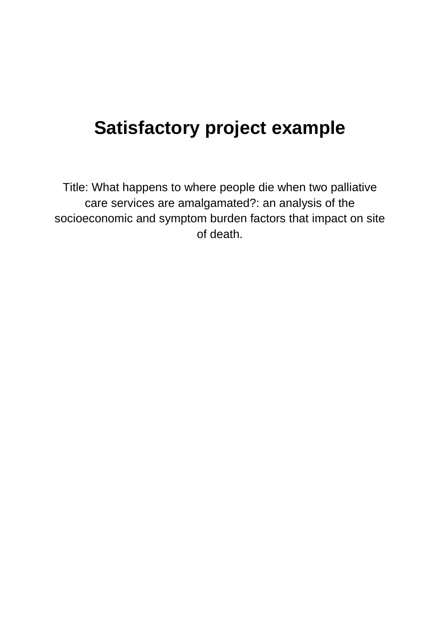# **Satisfactory project example**

Title: What happens to where people die when two palliative care services are amalgamated?: an analysis of the socioeconomic and symptom burden factors that impact on site of death.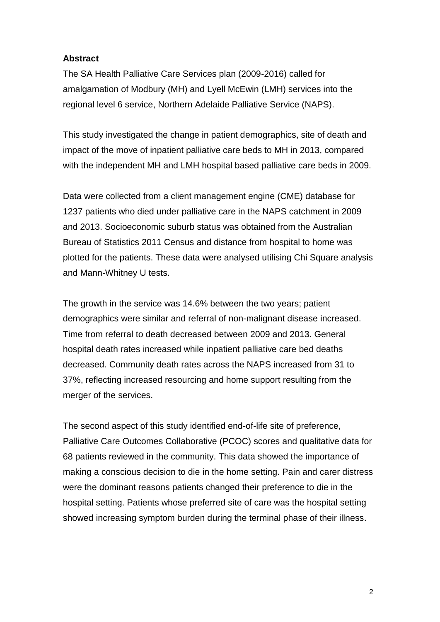#### **Abstract**

The SA Health Palliative Care Services plan (2009-2016) called for amalgamation of Modbury (MH) and Lyell McEwin (LMH) services into the regional level 6 service, Northern Adelaide Palliative Service (NAPS).

This study investigated the change in patient demographics, site of death and impact of the move of inpatient palliative care beds to MH in 2013, compared with the independent MH and LMH hospital based palliative care beds in 2009.

Data were collected from a client management engine (CME) database for 1237 patients who died under palliative care in the NAPS catchment in 2009 and 2013. Socioeconomic suburb status was obtained from the Australian Bureau of Statistics 2011 Census and distance from hospital to home was plotted for the patients. These data were analysed utilising Chi Square analysis and Mann-Whitney U tests.

The growth in the service was 14.6% between the two years; patient demographics were similar and referral of non-malignant disease increased. Time from referral to death decreased between 2009 and 2013. General hospital death rates increased while inpatient palliative care bed deaths decreased. Community death rates across the NAPS increased from 31 to 37%, reflecting increased resourcing and home support resulting from the merger of the services.

The second aspect of this study identified end-of-life site of preference, Palliative Care Outcomes Collaborative (PCOC) scores and qualitative data for 68 patients reviewed in the community. This data showed the importance of making a conscious decision to die in the home setting. Pain and carer distress were the dominant reasons patients changed their preference to die in the hospital setting. Patients whose preferred site of care was the hospital setting showed increasing symptom burden during the terminal phase of their illness.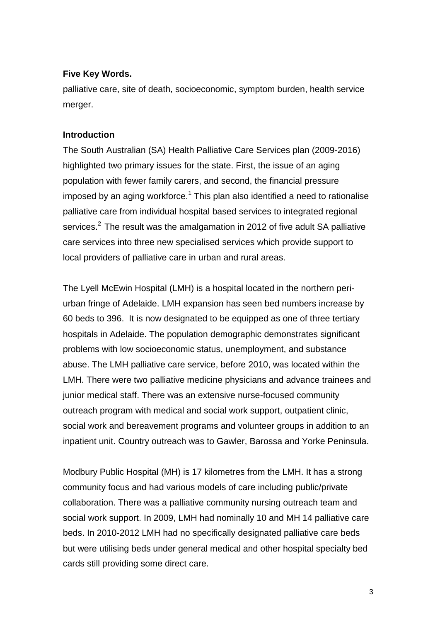#### **Five Key Words.**

palliative care, site of death, socioeconomic, symptom burden, health service merger.

## **Introduction**

The South Australian (SA) Health Palliative Care Services plan (2009-2016) highlighted two primary issues for the state. First, the issue of an aging population with fewer family carers, and second, the financial pressure imposed by an aging workforce.<sup>1</sup> This plan also identified a need to rationalise palliative care from individual hospital based services to integrated regional services.<sup>2</sup> The result was the amalgamation in 2012 of five adult SA palliative care services into three new specialised services which provide support to local providers of palliative care in urban and rural areas.

The Lyell McEwin Hospital (LMH) is a hospital located in the northern periurban fringe of Adelaide. LMH expansion has seen bed numbers increase by 60 beds to 396. It is now designated to be equipped as one of three tertiary hospitals in Adelaide. The population demographic demonstrates significant problems with low socioeconomic status, unemployment, and substance abuse. The LMH palliative care service, before 2010, was located within the LMH. There were two palliative medicine physicians and advance trainees and junior medical staff. There was an extensive nurse-focused community outreach program with medical and social work support, outpatient clinic, social work and bereavement programs and volunteer groups in addition to an inpatient unit. Country outreach was to Gawler, Barossa and Yorke Peninsula.

Modbury Public Hospital (MH) is 17 kilometres from the LMH. It has a strong community focus and had various models of care including public/private collaboration. There was a palliative community nursing outreach team and social work support. In 2009, LMH had nominally 10 and MH 14 palliative care beds. In 2010-2012 LMH had no specifically designated palliative care beds but were utilising beds under general medical and other hospital specialty bed cards still providing some direct care.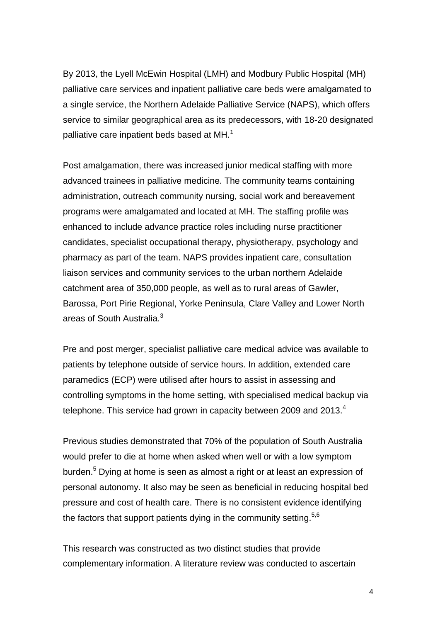By 2013, the Lyell McEwin Hospital (LMH) and Modbury Public Hospital (MH) palliative care services and inpatient palliative care beds were amalgamated to a single service, the Northern Adelaide Palliative Service (NAPS), which offers service to similar geographical area as its predecessors, with 18-20 designated palliative care inpatient beds based at MH. $<sup>1</sup>$ </sup>

Post amalgamation, there was increased junior medical staffing with more advanced trainees in palliative medicine. The community teams containing administration, outreach community nursing, social work and bereavement programs were amalgamated and located at MH. The staffing profile was enhanced to include advance practice roles including nurse practitioner candidates, specialist occupational therapy, physiotherapy, psychology and pharmacy as part of the team. NAPS provides inpatient care, consultation liaison services and community services to the urban northern Adelaide catchment area of 350,000 people, as well as to rural areas of Gawler, Barossa, Port Pirie Regional, Yorke Peninsula, Clare Valley and Lower North areas of South Australia.<sup>3</sup>

Pre and post merger, specialist palliative care medical advice was available to patients by telephone outside of service hours. In addition, extended care paramedics (ECP) were utilised after hours to assist in assessing and controlling symptoms in the home setting, with specialised medical backup via telephone. This service had grown in capacity between 2009 and 2013. $4$ 

Previous studies demonstrated that 70% of the population of South Australia would prefer to die at home when asked when well or with a low symptom burden.<sup>5</sup> Dying at home is seen as almost a right or at least an expression of personal autonomy. It also may be seen as beneficial in reducing hospital bed pressure and cost of health care. There is no consistent evidence identifying the factors that support patients dying in the community setting.<sup>5,6</sup>

This research was constructed as two distinct studies that provide complementary information. A literature review was conducted to ascertain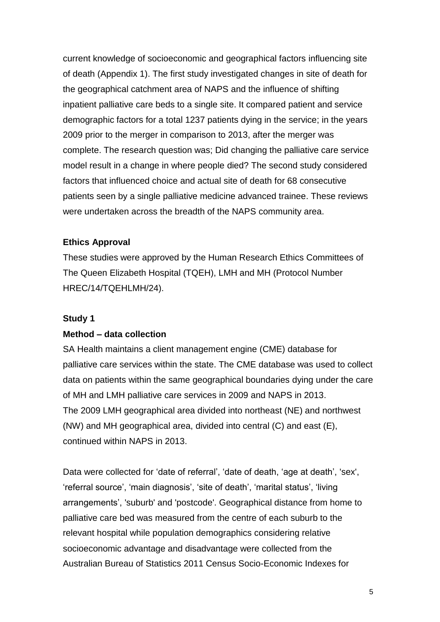current knowledge of socioeconomic and geographical factors influencing site of death (Appendix 1). The first study investigated changes in site of death for the geographical catchment area of NAPS and the influence of shifting inpatient palliative care beds to a single site. It compared patient and service demographic factors for a total 1237 patients dying in the service; in the years 2009 prior to the merger in comparison to 2013, after the merger was complete. The research question was; Did changing the palliative care service model result in a change in where people died? The second study considered factors that influenced choice and actual site of death for 68 consecutive patients seen by a single palliative medicine advanced trainee. These reviews were undertaken across the breadth of the NAPS community area.

#### **Ethics Approval**

These studies were approved by the Human Research Ethics Committees of The Queen Elizabeth Hospital (TQEH), LMH and MH (Protocol Number HREC/14/TQEHLMH/24).

#### **Study 1**

#### **Method – data collection**

SA Health maintains a client management engine (CME) database for palliative care services within the state. The CME database was used to collect data on patients within the same geographical boundaries dying under the care of MH and LMH palliative care services in 2009 and NAPS in 2013. The 2009 LMH geographical area divided into northeast (NE) and northwest (NW) and MH geographical area, divided into central (C) and east (E), continued within NAPS in 2013.

Data were collected for 'date of referral', 'date of death, 'age at death', 'sex', 'referral source', 'main diagnosis', 'site of death', 'marital status', 'living arrangements', 'suburb' and 'postcode'. Geographical distance from home to palliative care bed was measured from the centre of each suburb to the relevant hospital while population demographics considering relative socioeconomic advantage and disadvantage were collected from the Australian Bureau of Statistics 2011 Census Socio-Economic Indexes for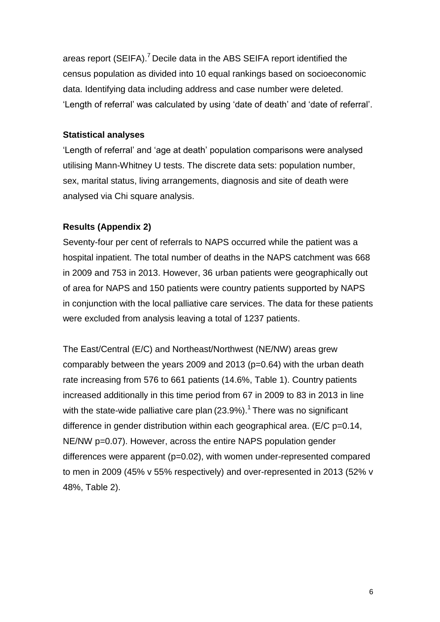areas report (SEIFA).<sup>7</sup> Decile data in the ABS SEIFA report identified the census population as divided into 10 equal rankings based on socioeconomic data. Identifying data including address and case number were deleted. 'Length of referral' was calculated by using 'date of death' and 'date of referral'.

## **Statistical analyses**

'Length of referral' and 'age at death' population comparisons were analysed utilising Mann-Whitney U tests. The discrete data sets: population number, sex, marital status, living arrangements, diagnosis and site of death were analysed via Chi square analysis.

## **Results (Appendix 2)**

Seventy-four per cent of referrals to NAPS occurred while the patient was a hospital inpatient. The total number of deaths in the NAPS catchment was 668 in 2009 and 753 in 2013. However, 36 urban patients were geographically out of area for NAPS and 150 patients were country patients supported by NAPS in conjunction with the local palliative care services. The data for these patients were excluded from analysis leaving a total of 1237 patients.

The East/Central (E/C) and Northeast/Northwest (NE/NW) areas grew comparably between the years 2009 and 2013 (p=0.64) with the urban death rate increasing from 576 to 661 patients (14.6%, Table 1). Country patients increased additionally in this time period from 67 in 2009 to 83 in 2013 in line with the state-wide palliative care plan (23.9%).<sup>1</sup> There was no significant difference in gender distribution within each geographical area. (E/C p=0.14, NE/NW p=0.07). However, across the entire NAPS population gender differences were apparent (p=0.02), with women under-represented compared to men in 2009 (45% v 55% respectively) and over-represented in 2013 (52% v 48%, Table 2).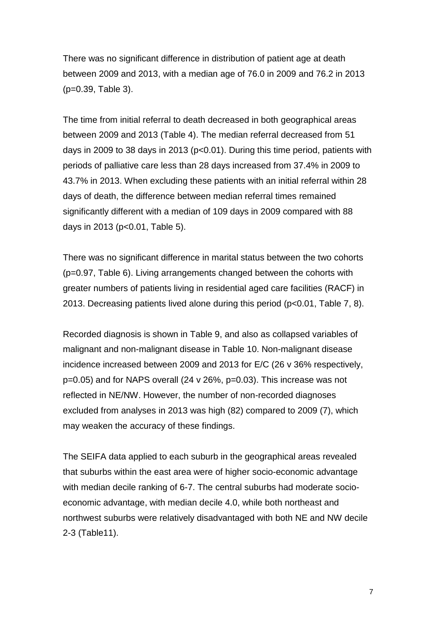There was no significant difference in distribution of patient age at death between 2009 and 2013, with a median age of 76.0 in 2009 and 76.2 in 2013 (p=0.39, Table 3).

The time from initial referral to death decreased in both geographical areas between 2009 and 2013 (Table 4). The median referral decreased from 51 days in 2009 to 38 days in 2013 (p<0.01). During this time period, patients with periods of palliative care less than 28 days increased from 37.4% in 2009 to 43.7% in 2013. When excluding these patients with an initial referral within 28 days of death, the difference between median referral times remained significantly different with a median of 109 days in 2009 compared with 88 days in 2013 (p<0.01, Table 5).

There was no significant difference in marital status between the two cohorts (p=0.97, Table 6). Living arrangements changed between the cohorts with greater numbers of patients living in residential aged care facilities (RACF) in 2013. Decreasing patients lived alone during this period (p<0.01, Table 7, 8).

Recorded diagnosis is shown in Table 9, and also as collapsed variables of malignant and non-malignant disease in Table 10. Non-malignant disease incidence increased between 2009 and 2013 for E/C (26 v 36% respectively, p=0.05) and for NAPS overall (24 v 26%, p=0.03). This increase was not reflected in NE/NW. However, the number of non-recorded diagnoses excluded from analyses in 2013 was high (82) compared to 2009 (7), which may weaken the accuracy of these findings.

The SEIFA data applied to each suburb in the geographical areas revealed that suburbs within the east area were of higher socio-economic advantage with median decile ranking of 6-7. The central suburbs had moderate socioeconomic advantage, with median decile 4.0, while both northeast and northwest suburbs were relatively disadvantaged with both NE and NW decile 2-3 (Table11).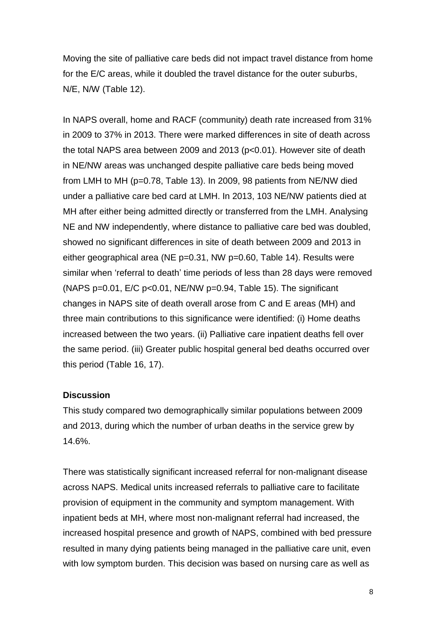Moving the site of palliative care beds did not impact travel distance from home for the E/C areas, while it doubled the travel distance for the outer suburbs, N/E, N/W (Table 12).

In NAPS overall, home and RACF (community) death rate increased from 31% in 2009 to 37% in 2013. There were marked differences in site of death across the total NAPS area between 2009 and 2013 (p<0.01). However site of death in NE/NW areas was unchanged despite palliative care beds being moved from LMH to MH (p=0.78, Table 13). In 2009, 98 patients from NE/NW died under a palliative care bed card at LMH. In 2013, 103 NE/NW patients died at MH after either being admitted directly or transferred from the LMH. Analysing NE and NW independently, where distance to palliative care bed was doubled, showed no significant differences in site of death between 2009 and 2013 in either geographical area (NE p=0.31, NW p=0.60, Table 14). Results were similar when 'referral to death' time periods of less than 28 days were removed (NAPS  $p=0.01$ ,  $E/C p<0.01$ , NE/NW  $p=0.94$ , Table 15). The significant changes in NAPS site of death overall arose from C and E areas (MH) and three main contributions to this significance were identified: (i) Home deaths increased between the two years. (ii) Palliative care inpatient deaths fell over the same period. (iii) Greater public hospital general bed deaths occurred over this period (Table 16, 17).

#### **Discussion**

This study compared two demographically similar populations between 2009 and 2013, during which the number of urban deaths in the service grew by 14.6%.

There was statistically significant increased referral for non-malignant disease across NAPS. Medical units increased referrals to palliative care to facilitate provision of equipment in the community and symptom management. With inpatient beds at MH, where most non-malignant referral had increased, the increased hospital presence and growth of NAPS, combined with bed pressure resulted in many dying patients being managed in the palliative care unit, even with low symptom burden. This decision was based on nursing care as well as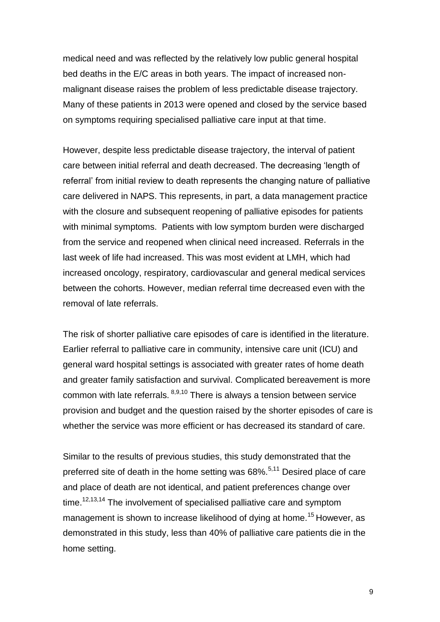medical need and was reflected by the relatively low public general hospital bed deaths in the E/C areas in both years. The impact of increased nonmalignant disease raises the problem of less predictable disease trajectory. Many of these patients in 2013 were opened and closed by the service based on symptoms requiring specialised palliative care input at that time.

However, despite less predictable disease trajectory, the interval of patient care between initial referral and death decreased. The decreasing 'length of referral' from initial review to death represents the changing nature of palliative care delivered in NAPS. This represents, in part, a data management practice with the closure and subsequent reopening of palliative episodes for patients with minimal symptoms. Patients with low symptom burden were discharged from the service and reopened when clinical need increased. Referrals in the last week of life had increased. This was most evident at LMH, which had increased oncology, respiratory, cardiovascular and general medical services between the cohorts. However, median referral time decreased even with the removal of late referrals.

The risk of shorter palliative care episodes of care is identified in the literature. Earlier referral to palliative care in community, intensive care unit (ICU) and general ward hospital settings is associated with greater rates of home death and greater family satisfaction and survival. Complicated bereavement is more common with late referrals.  $8,9,10$  There is always a tension between service provision and budget and the question raised by the shorter episodes of care is whether the service was more efficient or has decreased its standard of care.

Similar to the results of previous studies, this study demonstrated that the preferred site of death in the home setting was 68%.<sup>5,11</sup> Desired place of care and place of death are not identical, and patient preferences change over time.<sup>12,13,14</sup> The involvement of specialised palliative care and symptom management is shown to increase likelihood of dying at home.<sup>15</sup> However, as demonstrated in this study, less than 40% of palliative care patients die in the home setting.

9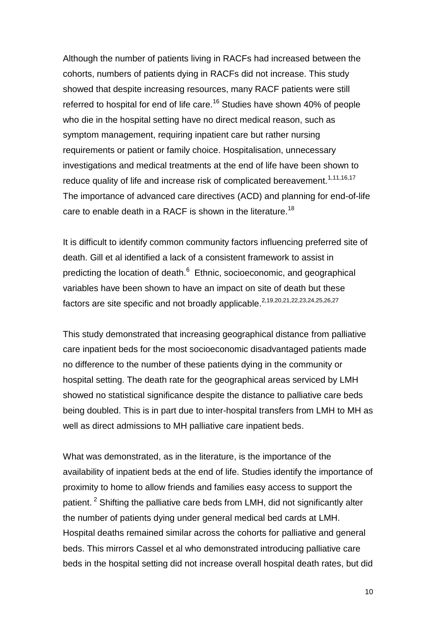Although the number of patients living in RACFs had increased between the cohorts, numbers of patients dying in RACFs did not increase. This study showed that despite increasing resources, many RACF patients were still referred to hospital for end of life care.<sup>16</sup> Studies have shown 40% of people who die in the hospital setting have no direct medical reason, such as symptom management, requiring inpatient care but rather nursing requirements or patient or family choice. Hospitalisation, unnecessary investigations and medical treatments at the end of life have been shown to reduce quality of life and increase risk of complicated bereavement.<sup>1,11,16,17</sup> The importance of advanced care directives (ACD) and planning for end-of-life care to enable death in a RACF is shown in the literature.<sup>18</sup>

It is difficult to identify common community factors influencing preferred site of death. Gill et al identified a lack of a consistent framework to assist in predicting the location of death.<sup>6</sup> Ethnic, socioeconomic, and geographical variables have been shown to have an impact on site of death but these factors are site specific and not broadly applicable.<sup>2,19,20,21,22,23,24,25,26,27</sup>

This study demonstrated that increasing geographical distance from palliative care inpatient beds for the most socioeconomic disadvantaged patients made no difference to the number of these patients dying in the community or hospital setting. The death rate for the geographical areas serviced by LMH showed no statistical significance despite the distance to palliative care beds being doubled. This is in part due to inter-hospital transfers from LMH to MH as well as direct admissions to MH palliative care inpatient beds.

What was demonstrated, as in the literature, is the importance of the availability of inpatient beds at the end of life. Studies identify the importance of proximity to home to allow friends and families easy access to support the patient.<sup>2</sup> Shifting the palliative care beds from LMH, did not significantly alter the number of patients dying under general medical bed cards at LMH. Hospital deaths remained similar across the cohorts for palliative and general beds. This mirrors Cassel et al who demonstrated introducing palliative care beds in the hospital setting did not increase overall hospital death rates, but did

10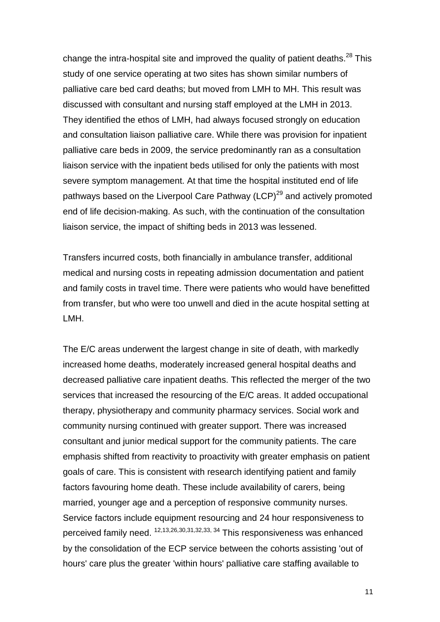change the intra-hospital site and improved the quality of patient deaths. $^{28}$  This study of one service operating at two sites has shown similar numbers of palliative care bed card deaths; but moved from LMH to MH. This result was discussed with consultant and nursing staff employed at the LMH in 2013. They identified the ethos of LMH, had always focused strongly on education and consultation liaison palliative care. While there was provision for inpatient palliative care beds in 2009, the service predominantly ran as a consultation liaison service with the inpatient beds utilised for only the patients with most severe symptom management. At that time the hospital instituted end of life pathways based on the Liverpool Care Pathway (LCP) $^{29}$  and actively promoted end of life decision-making. As such, with the continuation of the consultation liaison service, the impact of shifting beds in 2013 was lessened.

Transfers incurred costs, both financially in ambulance transfer, additional medical and nursing costs in repeating admission documentation and patient and family costs in travel time. There were patients who would have benefitted from transfer, but who were too unwell and died in the acute hospital setting at LMH.

The E/C areas underwent the largest change in site of death, with markedly increased home deaths, moderately increased general hospital deaths and decreased palliative care inpatient deaths. This reflected the merger of the two services that increased the resourcing of the E/C areas. It added occupational therapy, physiotherapy and community pharmacy services. Social work and community nursing continued with greater support. There was increased consultant and junior medical support for the community patients. The care emphasis shifted from reactivity to proactivity with greater emphasis on patient goals of care. This is consistent with research identifying patient and family factors favouring home death. These include availability of carers, being married, younger age and a perception of responsive community nurses. Service factors include equipment resourcing and 24 hour responsiveness to perceived family need. <sup>12,13,26,30,31,32,33, 34</sup> This responsiveness was enhanced by the consolidation of the ECP service between the cohorts assisting 'out of hours' care plus the greater 'within hours' palliative care staffing available to

11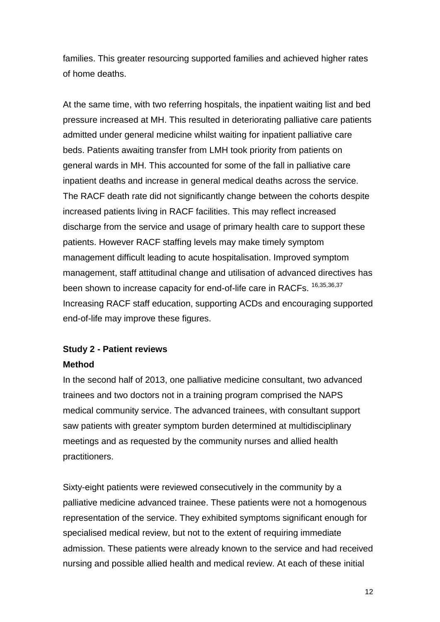families. This greater resourcing supported families and achieved higher rates of home deaths.

At the same time, with two referring hospitals, the inpatient waiting list and bed pressure increased at MH. This resulted in deteriorating palliative care patients admitted under general medicine whilst waiting for inpatient palliative care beds. Patients awaiting transfer from LMH took priority from patients on general wards in MH. This accounted for some of the fall in palliative care inpatient deaths and increase in general medical deaths across the service. The RACF death rate did not significantly change between the cohorts despite increased patients living in RACF facilities. This may reflect increased discharge from the service and usage of primary health care to support these patients. However RACF staffing levels may make timely symptom management difficult leading to acute hospitalisation. Improved symptom management, staff attitudinal change and utilisation of advanced directives has been shown to increase capacity for end-of-life care in RACFs. <sup>16,35,36,37</sup> Increasing RACF staff education, supporting ACDs and encouraging supported end-of-life may improve these figures.

## **Study 2 - Patient reviews Method**

## In the second half of 2013, one palliative medicine consultant, two advanced trainees and two doctors not in a training program comprised the NAPS medical community service. The advanced trainees, with consultant support saw patients with greater symptom burden determined at multidisciplinary meetings and as requested by the community nurses and allied health

practitioners.

Sixty-eight patients were reviewed consecutively in the community by a palliative medicine advanced trainee. These patients were not a homogenous representation of the service. They exhibited symptoms significant enough for specialised medical review, but not to the extent of requiring immediate admission. These patients were already known to the service and had received nursing and possible allied health and medical review. At each of these initial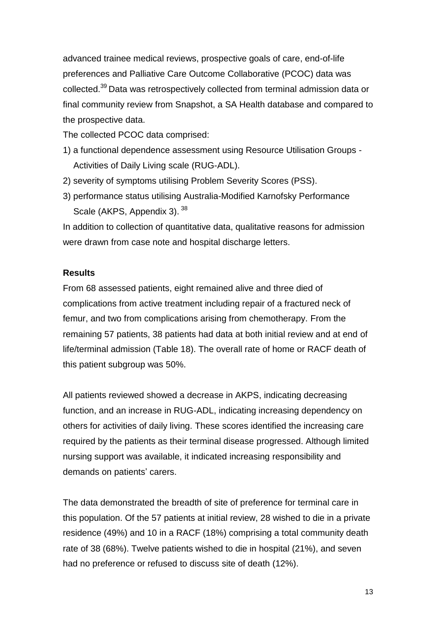advanced trainee medical reviews, prospective goals of care, end-of-life preferences and Palliative Care Outcome Collaborative (PCOC) data was collected.<sup>39</sup> Data was retrospectively collected from terminal admission data or final community review from Snapshot, a SA Health database and compared to the prospective data.

The collected PCOC data comprised:

- 1) a functional dependence assessment using Resource Utilisation Groups Activities of Daily Living scale (RUG-ADL).
- 2) severity of symptoms utilising Problem Severity Scores (PSS).
- 3) performance status utilising Australia-Modified Karnofsky Performance Scale (AKPS, Appendix 3). 38

In addition to collection of quantitative data, qualitative reasons for admission were drawn from case note and hospital discharge letters.

#### **Results**

From 68 assessed patients, eight remained alive and three died of complications from active treatment including repair of a fractured neck of femur, and two from complications arising from chemotherapy. From the remaining 57 patients, 38 patients had data at both initial review and at end of life/terminal admission (Table 18). The overall rate of home or RACF death of this patient subgroup was 50%.

All patients reviewed showed a decrease in AKPS, indicating decreasing function, and an increase in RUG-ADL, indicating increasing dependency on others for activities of daily living. These scores identified the increasing care required by the patients as their terminal disease progressed. Although limited nursing support was available, it indicated increasing responsibility and demands on patients' carers.

The data demonstrated the breadth of site of preference for terminal care in this population. Of the 57 patients at initial review, 28 wished to die in a private residence (49%) and 10 in a RACF (18%) comprising a total community death rate of 38 (68%). Twelve patients wished to die in hospital (21%), and seven had no preference or refused to discuss site of death (12%).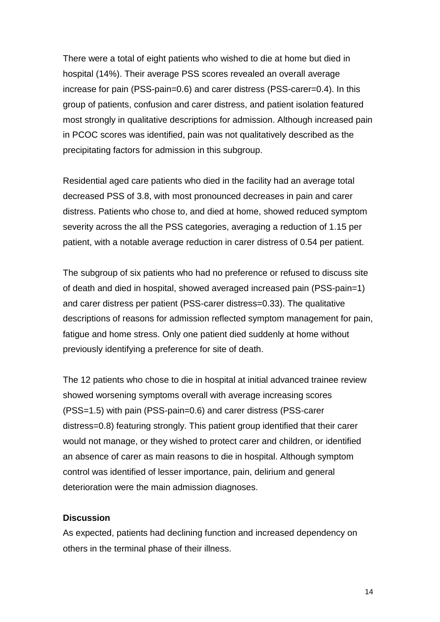There were a total of eight patients who wished to die at home but died in hospital (14%). Their average PSS scores revealed an overall average increase for pain (PSS-pain=0.6) and carer distress (PSS-carer=0.4). In this group of patients, confusion and carer distress, and patient isolation featured most strongly in qualitative descriptions for admission. Although increased pain in PCOC scores was identified, pain was not qualitatively described as the precipitating factors for admission in this subgroup.

Residential aged care patients who died in the facility had an average total decreased PSS of 3.8, with most pronounced decreases in pain and carer distress. Patients who chose to, and died at home, showed reduced symptom severity across the all the PSS categories, averaging a reduction of 1.15 per patient, with a notable average reduction in carer distress of 0.54 per patient.

The subgroup of six patients who had no preference or refused to discuss site of death and died in hospital, showed averaged increased pain (PSS-pain=1) and carer distress per patient (PSS-carer distress=0.33). The qualitative descriptions of reasons for admission reflected symptom management for pain, fatigue and home stress. Only one patient died suddenly at home without previously identifying a preference for site of death.

The 12 patients who chose to die in hospital at initial advanced trainee review showed worsening symptoms overall with average increasing scores (PSS=1.5) with pain (PSS-pain=0.6) and carer distress (PSS-carer distress=0.8) featuring strongly. This patient group identified that their carer would not manage, or they wished to protect carer and children, or identified an absence of carer as main reasons to die in hospital. Although symptom control was identified of lesser importance, pain, delirium and general deterioration were the main admission diagnoses.

#### **Discussion**

As expected, patients had declining function and increased dependency on others in the terminal phase of their illness.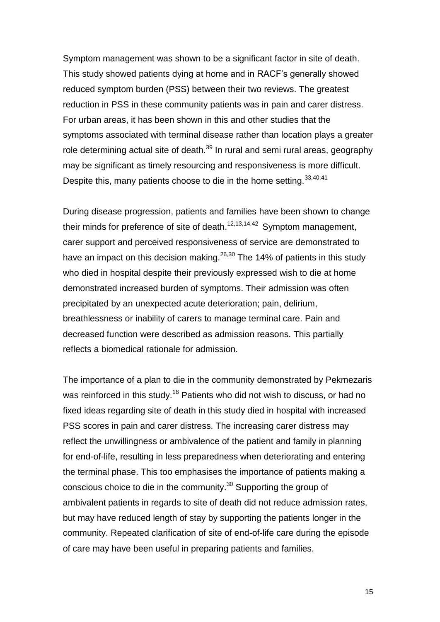Symptom management was shown to be a significant factor in site of death. This study showed patients dying at home and in RACF's generally showed reduced symptom burden (PSS) between their two reviews. The greatest reduction in PSS in these community patients was in pain and carer distress. For urban areas, it has been shown in this and other studies that the symptoms associated with terminal disease rather than location plays a greater role determining actual site of death.<sup>39</sup> In rural and semi rural areas, geography may be significant as timely resourcing and responsiveness is more difficult. Despite this, many patients choose to die in the home setting. 33,40,41

During disease progression, patients and families have been shown to change their minds for preference of site of death. $12,13,14,42$  Symptom management, carer support and perceived responsiveness of service are demonstrated to have an impact on this decision making.  $26,30$  The 14% of patients in this study who died in hospital despite their previously expressed wish to die at home demonstrated increased burden of symptoms. Their admission was often precipitated by an unexpected acute deterioration; pain, delirium, breathlessness or inability of carers to manage terminal care. Pain and decreased function were described as admission reasons. This partially reflects a biomedical rationale for admission.

The importance of a plan to die in the community demonstrated by Pekmezaris was reinforced in this study.<sup>18</sup> Patients who did not wish to discuss, or had no fixed ideas regarding site of death in this study died in hospital with increased PSS scores in pain and carer distress. The increasing carer distress may reflect the unwillingness or ambivalence of the patient and family in planning for end-of-life, resulting in less preparedness when deteriorating and entering the terminal phase. This too emphasises the importance of patients making a conscious choice to die in the community.<sup>30</sup> Supporting the group of ambivalent patients in regards to site of death did not reduce admission rates, but may have reduced length of stay by supporting the patients longer in the community. Repeated clarification of site of end-of-life care during the episode of care may have been useful in preparing patients and families.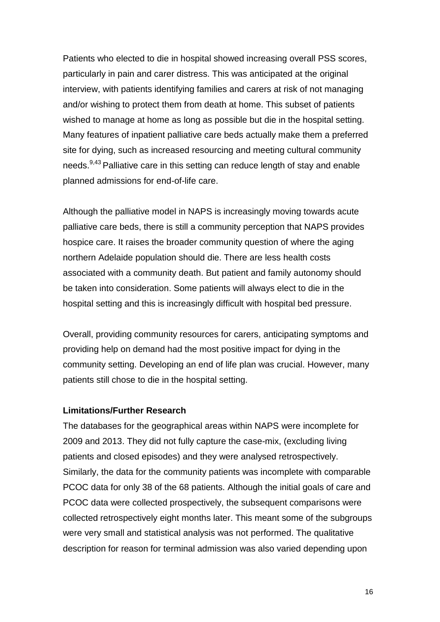Patients who elected to die in hospital showed increasing overall PSS scores, particularly in pain and carer distress. This was anticipated at the original interview, with patients identifying families and carers at risk of not managing and/or wishing to protect them from death at home. This subset of patients wished to manage at home as long as possible but die in the hospital setting. Many features of inpatient palliative care beds actually make them a preferred site for dying, such as increased resourcing and meeting cultural community needs.<sup>9,43</sup> Palliative care in this setting can reduce length of stay and enable planned admissions for end-of-life care.

Although the palliative model in NAPS is increasingly moving towards acute palliative care beds, there is still a community perception that NAPS provides hospice care. It raises the broader community question of where the aging northern Adelaide population should die. There are less health costs associated with a community death. But patient and family autonomy should be taken into consideration. Some patients will always elect to die in the hospital setting and this is increasingly difficult with hospital bed pressure.

Overall, providing community resources for carers, anticipating symptoms and providing help on demand had the most positive impact for dying in the community setting. Developing an end of life plan was crucial. However, many patients still chose to die in the hospital setting.

#### **Limitations/Further Research**

The databases for the geographical areas within NAPS were incomplete for 2009 and 2013. They did not fully capture the case-mix, (excluding living patients and closed episodes) and they were analysed retrospectively. Similarly, the data for the community patients was incomplete with comparable PCOC data for only 38 of the 68 patients. Although the initial goals of care and PCOC data were collected prospectively, the subsequent comparisons were collected retrospectively eight months later. This meant some of the subgroups were very small and statistical analysis was not performed. The qualitative description for reason for terminal admission was also varied depending upon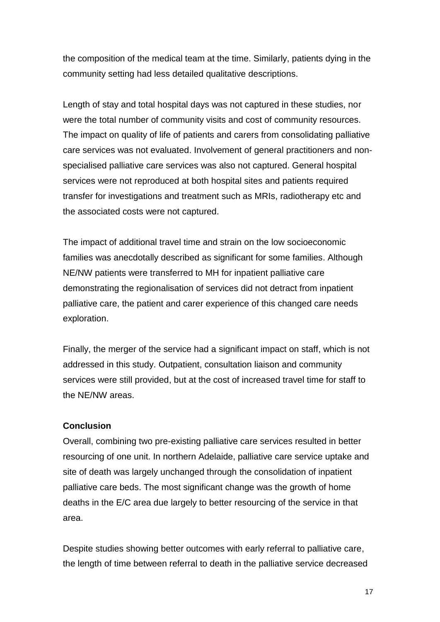the composition of the medical team at the time. Similarly, patients dying in the community setting had less detailed qualitative descriptions.

Length of stay and total hospital days was not captured in these studies, nor were the total number of community visits and cost of community resources. The impact on quality of life of patients and carers from consolidating palliative care services was not evaluated. Involvement of general practitioners and nonspecialised palliative care services was also not captured. General hospital services were not reproduced at both hospital sites and patients required transfer for investigations and treatment such as MRIs, radiotherapy etc and the associated costs were not captured.

The impact of additional travel time and strain on the low socioeconomic families was anecdotally described as significant for some families. Although NE/NW patients were transferred to MH for inpatient palliative care demonstrating the regionalisation of services did not detract from inpatient palliative care, the patient and carer experience of this changed care needs exploration.

Finally, the merger of the service had a significant impact on staff, which is not addressed in this study. Outpatient, consultation liaison and community services were still provided, but at the cost of increased travel time for staff to the NE/NW areas.

#### **Conclusion**

Overall, combining two pre-existing palliative care services resulted in better resourcing of one unit. In northern Adelaide, palliative care service uptake and site of death was largely unchanged through the consolidation of inpatient palliative care beds. The most significant change was the growth of home deaths in the E/C area due largely to better resourcing of the service in that area.

Despite studies showing better outcomes with early referral to palliative care, the length of time between referral to death in the palliative service decreased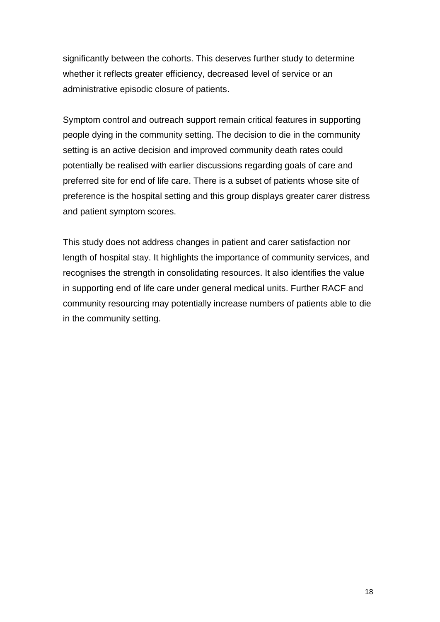significantly between the cohorts. This deserves further study to determine whether it reflects greater efficiency, decreased level of service or an administrative episodic closure of patients.

Symptom control and outreach support remain critical features in supporting people dying in the community setting. The decision to die in the community setting is an active decision and improved community death rates could potentially be realised with earlier discussions regarding goals of care and preferred site for end of life care. There is a subset of patients whose site of preference is the hospital setting and this group displays greater carer distress and patient symptom scores.

This study does not address changes in patient and carer satisfaction nor length of hospital stay. It highlights the importance of community services, and recognises the strength in consolidating resources. It also identifies the value in supporting end of life care under general medical units. Further RACF and community resourcing may potentially increase numbers of patients able to die in the community setting.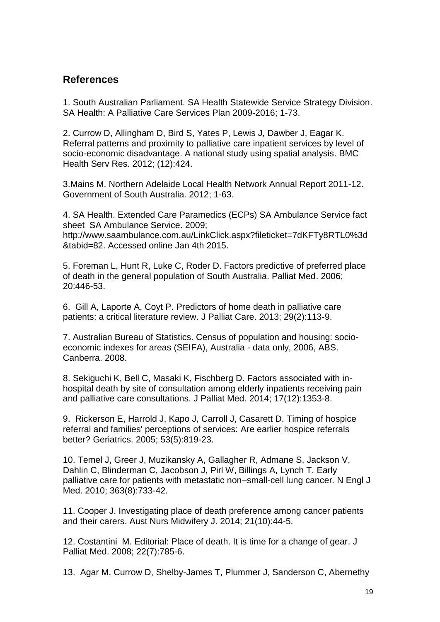## **References**

1. South Australian Parliament. SA Health Statewide Service Strategy Division. SA Health: A Palliative Care Services Plan 2009-2016; 1-73.

2. Currow D, Allingham D, Bird S, Yates P, Lewis J, Dawber J, Eagar K. Referral patterns and proximity to palliative care inpatient services by level of socio-economic disadvantage. A national study using spatial analysis. BMC Health Serv Res. 2012; (12):424.

3.Mains M. Northern Adelaide Local Health Network Annual Report 2011-12. Government of South Australia. 2012; 1-63.

4. SA Health. Extended Care Paramedics (ECPs) SA Ambulance Service fact sheet SA Ambulance Service. 2009; http://www.saambulance.com.au/LinkClick.aspx?fileticket=7dKFTy8RTL0%3d &tabid=82. Accessed online Jan 4th 2015.

5. Foreman L, Hunt R, Luke C, Roder D. Factors predictive of preferred place of death in the general population of South Australia. Palliat Med. 2006; 20:446-53.

6. Gill A, Laporte A, Coyt P. Predictors of home death in palliative care patients: a critical literature review. J Palliat Care. 2013; 29(2):113-9.

7. Australian Bureau of Statistics. Census of population and housing: socioeconomic indexes for areas (SEIFA), Australia - data only, 2006, ABS. Canberra. 2008.

8. Sekiguchi K, Bell C, Masaki K, Fischberg D. [Factors associated with in](http://flinders-primo.hosted.exlibrisgroup.com/primo_library/libweb/action/display.do?tabs=detailsTab&ct=display&fn=search&doc=TN_crossref10.1089%2fjpm.2013.0596&indx=1&recIds=TN_crossref10.1089%2fjpm.2013.0596&recIdxs=0&elementId=0&renderMode=poppedOut&displayMode=full&frbrVersion=&dscnt=0&frbg=&scp.scps=scope%3A%2861FUL%29%2Cscope%3A%28FUL_METALIB%29%2Cscope%3A%28FUL_DSPACE%29%2Cprimo_central_multiple_fe&tab=default_tab&dstmp=1415689461901&srt=rank&mode=Basic&&dum=true&vl(freeText0)=%20Factors%20Associated%20with%20In-Hospital%20Death%20by%20Site%20of%20Consultation%20among%20Elderly%20Inpatients%20Receiving%20Pain%20and%20Palliative%20Care%20Consultations&vid=FUL)[hospital death by site of consultation among elderly](http://flinders-primo.hosted.exlibrisgroup.com/primo_library/libweb/action/display.do?tabs=detailsTab&ct=display&fn=search&doc=TN_crossref10.1089%2fjpm.2013.0596&indx=1&recIds=TN_crossref10.1089%2fjpm.2013.0596&recIdxs=0&elementId=0&renderMode=poppedOut&displayMode=full&frbrVersion=&dscnt=0&frbg=&scp.scps=scope%3A%2861FUL%29%2Cscope%3A%28FUL_METALIB%29%2Cscope%3A%28FUL_DSPACE%29%2Cprimo_central_multiple_fe&tab=default_tab&dstmp=1415689461901&srt=rank&mode=Basic&&dum=true&vl(freeText0)=%20Factors%20Associated%20with%20In-Hospital%20Death%20by%20Site%20of%20Consultation%20among%20Elderly%20Inpatients%20Receiving%20Pain%20and%20Palliative%20Care%20Consultations&vid=FUL) inpatients receiving pain [and palliative care consultations.](http://flinders-primo.hosted.exlibrisgroup.com/primo_library/libweb/action/display.do?tabs=detailsTab&ct=display&fn=search&doc=TN_crossref10.1089%2fjpm.2013.0596&indx=1&recIds=TN_crossref10.1089%2fjpm.2013.0596&recIdxs=0&elementId=0&renderMode=poppedOut&displayMode=full&frbrVersion=&dscnt=0&frbg=&scp.scps=scope%3A%2861FUL%29%2Cscope%3A%28FUL_METALIB%29%2Cscope%3A%28FUL_DSPACE%29%2Cprimo_central_multiple_fe&tab=default_tab&dstmp=1415689461901&srt=rank&mode=Basic&&dum=true&vl(freeText0)=%20Factors%20Associated%20with%20In-Hospital%20Death%20by%20Site%20of%20Consultation%20among%20Elderly%20Inpatients%20Receiving%20Pain%20and%20Palliative%20Care%20Consultations&vid=FUL) J Palliat Med. 2014; 17(12):1353-8.

9. Rickerson E, Harrold J, Kapo J, Carroll J, Casarett D. [Timing of hospice](http://flinders-primo.hosted.exlibrisgroup.com/primo_library/libweb/action/display.do?frbrVersion=8&tabs=detailsTab&ct=display&fn=search&doc=TN_wj10.1111%2fj.1532-5415.2005.53259.x&indx=1&recIds=TN_wj10.1111%2fj.1532-5415.2005.53259.x&recIdxs=0&elementId=0&renderMode=poppedOut&displayMode=full&frbrVersion=8&dscnt=0&vl(15290103UI0)=any&fromSitemap=1&onCampus=false&query=any%2Ccontains%2CTiming+of+Hospice+Referral+and+Families%E2%80%99+Perceptions+of+Services%3A+Are+Earlier+Hospice+Referrals+Better%3F&scp.scps=scope%3A%2861FUL%29%2Cscope%3A%28FUL_METALIB%29%2Cscope%3A%28FUL_DSPACE%29%2Cprimo_central_multiple_fe&loc=local%2Cscope%3A%2861FUL%29%2Cscope%3A%28FUL_METALIB%29%2Cscope%3A%28FUL_DSPACE%29%2Cprimo_central_multiple_fe&dstmp=1415687814959&dym=true&highlight=true&pcAvailabiltyMode=false&vl(freeText0)=Timing%20of%20Hospice%20Referral%20and%20Families%E2%80%99%20Perceptions%20of%20Services%3A%20Are%20Earlier%20Hospice%20Referrals%20Better%3F&group=ALL&vid=FUL&institution=61FUL)  [referral and families' perceptions of services: Are earlier hospice referrals](http://flinders-primo.hosted.exlibrisgroup.com/primo_library/libweb/action/display.do?frbrVersion=8&tabs=detailsTab&ct=display&fn=search&doc=TN_wj10.1111%2fj.1532-5415.2005.53259.x&indx=1&recIds=TN_wj10.1111%2fj.1532-5415.2005.53259.x&recIdxs=0&elementId=0&renderMode=poppedOut&displayMode=full&frbrVersion=8&dscnt=0&vl(15290103UI0)=any&fromSitemap=1&onCampus=false&query=any%2Ccontains%2CTiming+of+Hospice+Referral+and+Families%E2%80%99+Perceptions+of+Services%3A+Are+Earlier+Hospice+Referrals+Better%3F&scp.scps=scope%3A%2861FUL%29%2Cscope%3A%28FUL_METALIB%29%2Cscope%3A%28FUL_DSPACE%29%2Cprimo_central_multiple_fe&loc=local%2Cscope%3A%2861FUL%29%2Cscope%3A%28FUL_METALIB%29%2Cscope%3A%28FUL_DSPACE%29%2Cprimo_central_multiple_fe&dstmp=1415687814959&dym=true&highlight=true&pcAvailabiltyMode=false&vl(freeText0)=Timing%20of%20Hospice%20Referral%20and%20Families%E2%80%99%20Perceptions%20of%20Services%3A%20Are%20Earlier%20Hospice%20Referrals%20Better%3F&group=ALL&vid=FUL&institution=61FUL)  [better?](http://flinders-primo.hosted.exlibrisgroup.com/primo_library/libweb/action/display.do?frbrVersion=8&tabs=detailsTab&ct=display&fn=search&doc=TN_wj10.1111%2fj.1532-5415.2005.53259.x&indx=1&recIds=TN_wj10.1111%2fj.1532-5415.2005.53259.x&recIdxs=0&elementId=0&renderMode=poppedOut&displayMode=full&frbrVersion=8&dscnt=0&vl(15290103UI0)=any&fromSitemap=1&onCampus=false&query=any%2Ccontains%2CTiming+of+Hospice+Referral+and+Families%E2%80%99+Perceptions+of+Services%3A+Are+Earlier+Hospice+Referrals+Better%3F&scp.scps=scope%3A%2861FUL%29%2Cscope%3A%28FUL_METALIB%29%2Cscope%3A%28FUL_DSPACE%29%2Cprimo_central_multiple_fe&loc=local%2Cscope%3A%2861FUL%29%2Cscope%3A%28FUL_METALIB%29%2Cscope%3A%28FUL_DSPACE%29%2Cprimo_central_multiple_fe&dstmp=1415687814959&dym=true&highlight=true&pcAvailabiltyMode=false&vl(freeText0)=Timing%20of%20Hospice%20Referral%20and%20Families%E2%80%99%20Perceptions%20of%20Services%3A%20Are%20Earlier%20Hospice%20Referrals%20Better%3F&group=ALL&vid=FUL&institution=61FUL) Geriatrics. 2005; 53(5):819-23.

10. Temel J, Greer J, Muzikansky A, Gallagher R, Admane S, Jackson V, Dahlin C, Blinderman C, Jacobson J, Pirl W, Billings A, Lynch T. Early palliative care for patients with metastatic non–small-cell lung cancer. N Engl J Med. 2010; 363(8):733-42.

11. Cooper J. [Investigating place of death preference among cancer patients](http://flinders-primo.hosted.exlibrisgroup.com/primo_library/libweb/action/display.do?frbrVersion=7&tabs=detailsTab&ct=display&fn=search&doc=TN_informit265250162466342&indx=1&recIds=TN_informit265250162466342&recIdxs=0&elementId=0&renderMode=poppedOut&displayMode=full&frbrVersion=7&dscnt=0&frbg=&scp.scps=scope%3A%2861FUL%29%2Cscope%3A%28FUL_METALIB%29%2Cscope%3A%28FUL_DSPACE%29%2Cprimo_central_multiple_fe&tab=default_tab&dstmp=1415690090271&srt=rank&mode=Basic&&dum=true&vl(freeText0)=Investigating%20place%20of%20death%20preference%20among%20cancer%20patients%20and%20their%20carers%3A%20often%20you%20hear%20and%20see%20the%20saying%20%27home%20is%20where%20the%20heart%20is%27%2C%20but%20for%20people%20living%20with%20a%20life-limiting%20illness%20in%20Australia%20and%20hoping%20to%20die%20at%20home%2C%20this%20may%20not%20be%20an%20option%20or%20choice.%28Focus%3A%20Palliative%20Care%29%28Report%29%28Author%20abstract%29&vid=FUL)  [and their carers.](http://flinders-primo.hosted.exlibrisgroup.com/primo_library/libweb/action/display.do?frbrVersion=7&tabs=detailsTab&ct=display&fn=search&doc=TN_informit265250162466342&indx=1&recIds=TN_informit265250162466342&recIdxs=0&elementId=0&renderMode=poppedOut&displayMode=full&frbrVersion=7&dscnt=0&frbg=&scp.scps=scope%3A%2861FUL%29%2Cscope%3A%28FUL_METALIB%29%2Cscope%3A%28FUL_DSPACE%29%2Cprimo_central_multiple_fe&tab=default_tab&dstmp=1415690090271&srt=rank&mode=Basic&&dum=true&vl(freeText0)=Investigating%20place%20of%20death%20preference%20among%20cancer%20patients%20and%20their%20carers%3A%20often%20you%20hear%20and%20see%20the%20saying%20%27home%20is%20where%20the%20heart%20is%27%2C%20but%20for%20people%20living%20with%20a%20life-limiting%20illness%20in%20Australia%20and%20hoping%20to%20die%20at%20home%2C%20this%20may%20not%20be%20an%20option%20or%20choice.%28Focus%3A%20Palliative%20Care%29%28Report%29%28Author%20abstract%29&vid=FUL) Aust Nurs Midwifery J. 2014; 21(10):44-5.

12. Costantini M. [Editorial: Place of death. It is time for a change of gear.](http://flinders-primo.hosted.exlibrisgroup.com/primo_library/libweb/action/display.do?frbrVersion=5&tabs=detailsTab&ct=display&fn=search&doc=TN_medline18838490&indx=1&recIds=TN_medline18838490&recIdxs=0&elementId=0&renderMode=poppedOut&displayMode=full&frbrVersion=5&dscnt=0&frbg=&scp.scps=scope%3A%2861FUL%29%2Cscope%3A%28FUL_METALIB%29%2Cscope%3A%28FUL_DSPACE%29%2Cprimo_central_multiple_fe&tab=default_tab&dstmp=1415690198076&srt=rank&mode=Basic&&dum=true&vl(freeText0)=Editorial%3A%20Place%20of%20death.%20It%20is%20time%20for%20a%20change%20of%20gear&vid=FUL) J Palliat Med. 2008; 22(7):785-6.

13. Agar M, Currow D, Shelby-James T, Plummer J, Sanderson C, Abernethy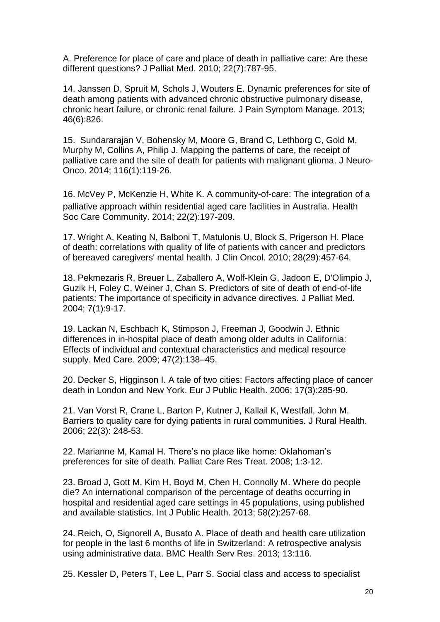A. [Preference for place of care and place of death in palliative care: Are these](http://flinders-primo.hosted.exlibrisgroup.com/primo_library/libweb/action/display.do?tabs=detailsTab&ct=display&fn=search&doc=FUL_DSPACE2328%2f11530&indx=1&recIds=FUL_DSPACE2328%2f11530&recIdxs=0&elementId=0&renderMode=poppedOut&displayMode=full&frbrVersion=&dscnt=0&frbg=&scp.scps=scope%3A%2861FUL%29%2Cscope%3A%28FUL_METALIB%29%2Cscope%3A%28FUL_DSPACE%29%2Cprimo_central_multiple_fe&tab=default_tab&dstmp=1415690311533&srt=rank&mode=Basic&&dum=true&vl(freeText0)=Preference%20for%20place%20of%20care%20and%20place%20of%20death%20in%20palliative%20care%3A%20are%20these%20different%20questions%3F&vid=FUL)  [different questions?](http://flinders-primo.hosted.exlibrisgroup.com/primo_library/libweb/action/display.do?tabs=detailsTab&ct=display&fn=search&doc=FUL_DSPACE2328%2f11530&indx=1&recIds=FUL_DSPACE2328%2f11530&recIdxs=0&elementId=0&renderMode=poppedOut&displayMode=full&frbrVersion=&dscnt=0&frbg=&scp.scps=scope%3A%2861FUL%29%2Cscope%3A%28FUL_METALIB%29%2Cscope%3A%28FUL_DSPACE%29%2Cprimo_central_multiple_fe&tab=default_tab&dstmp=1415690311533&srt=rank&mode=Basic&&dum=true&vl(freeText0)=Preference%20for%20place%20of%20care%20and%20place%20of%20death%20in%20palliative%20care%3A%20are%20these%20different%20questions%3F&vid=FUL) J Palliat Med. 2010; 22(7):787-95.

14. Janssen D, Spruit M, Schols J, Wouters E. Dynamic preferences for site of death among patients with advanced chronic obstructive pulmonary disease, chronic heart failure, or chronic renal failure. J Pain Symptom Manage. 2013; 46(6):826.

15. Sundararajan V, Bohensky M, Moore G, Brand C, Lethborg C, Gold M, Murphy M, Collins A, Philip J. [Mapping the patterns of care, the receipt of](http://flinders-primo.hosted.exlibrisgroup.com/primo_library/libweb/action/display.do?frbrVersion=7&tabs=detailsTab&ct=display&fn=search&doc=TN_medline24078175&indx=3&recIds=TN_medline24078175&recIdxs=2&elementId=2&renderMode=poppedOut&displayMode=full&frbrVersion=7&dscnt=0&frbg=&scp.scps=scope%3A%2861FUL%29%2Cscope%3A%28FUL_METALIB%29%2Cscope%3A%28FUL_DSPACE%29%2Cprimo_central_multiple_fe&tab=default_tab&dstmp=1415665389405&srt=rank&mode=Basic&&dum=true&vl(freeText0)=site%20of%20death%2C%20palliative&vid=FUL)  [palliative care and the site of death for patients with malignant glioma.](http://flinders-primo.hosted.exlibrisgroup.com/primo_library/libweb/action/display.do?frbrVersion=7&tabs=detailsTab&ct=display&fn=search&doc=TN_medline24078175&indx=3&recIds=TN_medline24078175&recIdxs=2&elementId=2&renderMode=poppedOut&displayMode=full&frbrVersion=7&dscnt=0&frbg=&scp.scps=scope%3A%2861FUL%29%2Cscope%3A%28FUL_METALIB%29%2Cscope%3A%28FUL_DSPACE%29%2Cprimo_central_multiple_fe&tab=default_tab&dstmp=1415665389405&srt=rank&mode=Basic&&dum=true&vl(freeText0)=site%20of%20death%2C%20palliative&vid=FUL) J Neuro-Onco. 2014; 116(1):119-26.

16. McVey P, McKenzie H, White K. A community‐of‐care: The integration of a palliative approach within residential aged care facilities in Australia. Health Soc Care Community. 2014; 22(2):197-209.

17. Wright A, Keating N, Balboni T, Matulonis U, Block S, Prigerson H. [Place](http://flinders-primo.hosted.exlibrisgroup.com/primo_library/libweb/action/display.do?frbrVersion=5&tabs=detailsTab&ct=display&fn=search&doc=TN_medline20837950&indx=1&recIds=TN_medline20837950&recIdxs=0&elementId=0&renderMode=poppedOut&displayMode=full&frbrVersion=5&dscnt=0&frbg=&scp.scps=scope%3A%2861FUL%29%2Cscope%3A%28FUL_METALIB%29%2Cscope%3A%28FUL_DSPACE%29%2Cprimo_central_multiple_fe&tab=default_tab&dstmp=1415688107064&srt=rank&mode=Basic&&dum=true&vl(freeText0)=Place%20of%20Death%3A%20Correlations%20With%20Quality%20of%20Life%20of%20Patients%20With%20Cancer%20and%20Predictors%20of%20Bereaved%20Caregivers%E2%80%99%20Mental%20Health&vid=FUL)  [of death: correlations with quality of life of patients with cancer and predictors](http://flinders-primo.hosted.exlibrisgroup.com/primo_library/libweb/action/display.do?frbrVersion=5&tabs=detailsTab&ct=display&fn=search&doc=TN_medline20837950&indx=1&recIds=TN_medline20837950&recIdxs=0&elementId=0&renderMode=poppedOut&displayMode=full&frbrVersion=5&dscnt=0&frbg=&scp.scps=scope%3A%2861FUL%29%2Cscope%3A%28FUL_METALIB%29%2Cscope%3A%28FUL_DSPACE%29%2Cprimo_central_multiple_fe&tab=default_tab&dstmp=1415688107064&srt=rank&mode=Basic&&dum=true&vl(freeText0)=Place%20of%20Death%3A%20Correlations%20With%20Quality%20of%20Life%20of%20Patients%20With%20Cancer%20and%20Predictors%20of%20Bereaved%20Caregivers%E2%80%99%20Mental%20Health&vid=FUL)  [of bereaved caregivers' mental health.](http://flinders-primo.hosted.exlibrisgroup.com/primo_library/libweb/action/display.do?frbrVersion=5&tabs=detailsTab&ct=display&fn=search&doc=TN_medline20837950&indx=1&recIds=TN_medline20837950&recIdxs=0&elementId=0&renderMode=poppedOut&displayMode=full&frbrVersion=5&dscnt=0&frbg=&scp.scps=scope%3A%2861FUL%29%2Cscope%3A%28FUL_METALIB%29%2Cscope%3A%28FUL_DSPACE%29%2Cprimo_central_multiple_fe&tab=default_tab&dstmp=1415688107064&srt=rank&mode=Basic&&dum=true&vl(freeText0)=Place%20of%20Death%3A%20Correlations%20With%20Quality%20of%20Life%20of%20Patients%20With%20Cancer%20and%20Predictors%20of%20Bereaved%20Caregivers%E2%80%99%20Mental%20Health&vid=FUL) J Clin Oncol. 2010; 28(29):457-64.

18. Pekmezaris R, Breuer L, Zaballero A, Wolf-Klein G, Jadoon E, D'Olimpio J, Guzik H, Foley C, Weiner J, Chan S. [Predictors of site of death of end-of-life](http://flinders-primo.hosted.exlibrisgroup.com/primo_library/libweb/action/display.do?frbrVersion=4&tabs=detailsTab&ct=display&fn=search&doc=TN_medline15000779&indx=1&recIds=TN_medline15000779&recIdxs=0&elementId=0&renderMode=poppedOut&displayMode=full&frbrVersion=4&dscnt=0&frbg=&scp.scps=scope%3A%2861FUL%29%2Cscope%3A%28FUL_METALIB%29%2Cscope%3A%28FUL_DSPACE%29%2Cprimo_central_multiple_fe&tab=default_tab&dstmp=1415689577568&srt=rank&mode=Basic&&dum=true&vl(freeText0)=%20Predictors%20of%20Site%20of%20Death%20of%20End-of-Life%20Patients%3A%20The%20Importance%20of%20Specificity%20in%20Advance%20Directives&vid=FUL)  [patients: The importance of specificity in advance directives.](http://flinders-primo.hosted.exlibrisgroup.com/primo_library/libweb/action/display.do?frbrVersion=4&tabs=detailsTab&ct=display&fn=search&doc=TN_medline15000779&indx=1&recIds=TN_medline15000779&recIdxs=0&elementId=0&renderMode=poppedOut&displayMode=full&frbrVersion=4&dscnt=0&frbg=&scp.scps=scope%3A%2861FUL%29%2Cscope%3A%28FUL_METALIB%29%2Cscope%3A%28FUL_DSPACE%29%2Cprimo_central_multiple_fe&tab=default_tab&dstmp=1415689577568&srt=rank&mode=Basic&&dum=true&vl(freeText0)=%20Predictors%20of%20Site%20of%20Death%20of%20End-of-Life%20Patients%3A%20The%20Importance%20of%20Specificity%20in%20Advance%20Directives&vid=FUL) J Palliat Med. 2004; 7(1):9-17.

19. Lackan N, Eschbach K, Stimpson J, Freeman J, Goodwin J. Ethnic differences in in-hospital place of death among older adults in California: Effects of individual and contextual characteristics and medical resource supply. Med Care. 2009; 47(2):138–45.

20. Decker S, Higginson I. [A tale of two cities: Factors affecting place of cancer](http://flinders-primo.hosted.exlibrisgroup.com/primo_library/libweb/action/display.do?frbrVersion=7&tabs=detailsTab&ct=display&fn=search&doc=TN_oxford10.1093%2feurpub%2fckl243&indx=1&recIds=TN_oxford10.1093%2feurpub%2fckl243&recIdxs=0&elementId=0&renderMode=poppedOut&displayMode=full&frbrVersion=7&dscnt=0&frbg=&scp.scps=scope%3A%2861FUL%29%2Cscope%3A%28FUL_METALIB%29%2Cscope%3A%28FUL_DSPACE%29%2Cprimo_central_multiple_fe&tab=default_tab&dstmp=1415688432579&srt=rank&mode=Basic&&dum=true&vl(freeText0)=A%20tale%20of%20two%20cities%3A%20Factors%20affecting%20place%20of%20cancer%20death%20in%20London%20and%20New%20York&vid=FUL)  [death in London and New York.](http://flinders-primo.hosted.exlibrisgroup.com/primo_library/libweb/action/display.do?frbrVersion=7&tabs=detailsTab&ct=display&fn=search&doc=TN_oxford10.1093%2feurpub%2fckl243&indx=1&recIds=TN_oxford10.1093%2feurpub%2fckl243&recIdxs=0&elementId=0&renderMode=poppedOut&displayMode=full&frbrVersion=7&dscnt=0&frbg=&scp.scps=scope%3A%2861FUL%29%2Cscope%3A%28FUL_METALIB%29%2Cscope%3A%28FUL_DSPACE%29%2Cprimo_central_multiple_fe&tab=default_tab&dstmp=1415688432579&srt=rank&mode=Basic&&dum=true&vl(freeText0)=A%20tale%20of%20two%20cities%3A%20Factors%20affecting%20place%20of%20cancer%20death%20in%20London%20and%20New%20York&vid=FUL) Eur J Public Health. 2006; 17(3):285-90.

21. Van Vorst R, Crane L, Barton P, Kutner J, Kallail K, Westfall, John M. Barriers to quality care for dying patients in rural communities. J Rural Health. 2006; 22(3): 248-53.

22. Marianne M, Kamal H. There's no place like home: Oklahoman's preferences for site of death. Palliat Care Res Treat. 2008; 1:3-12.

23. Broad J, Gott M, Kim H, Boyd M, Chen H, Connolly M. Where do people die? An international comparison of the percentage of deaths occurring in hospital and residential aged care settings in 45 populations, using published and available statistics. Int J Public Health. 2013; 58(2):257-68.

24. Reich, O, Signorell A, Busato A. Place of death and health care utilization for people in the last 6 months of life in Switzerland: A retrospective analysis using administrative data. BMC Health Serv Res. 2013; 13:116.

25. Kessler D, Peters T, Lee L, Parr S. [Social class and access to specialist](http://flinders-primo.hosted.exlibrisgroup.com/primo_library/libweb/action/display.do?frbrVersion=9&tabs=detailsTab&ct=display&fn=search&doc=TN_medline15810748&indx=1&recIds=TN_medline15810748&recIdxs=0&elementId=0&renderMode=poppedOut&displayMode=full&frbrVersion=9&dscnt=0&frbg=&scp.scps=scope%3A%2861FUL%29%2Cscope%3A%28FUL_METALIB%29%2Cscope%3A%28FUL_DSPACE%29%2Cprimo_central_multiple_fe&tab=default_tab&dstmp=1415688205444&srt=rank&mode=Basic&&dum=true&vl(freeText0)=Social%20class%20and%20access%20to%20specialist%20palliative%20care%20services&vid=FUL)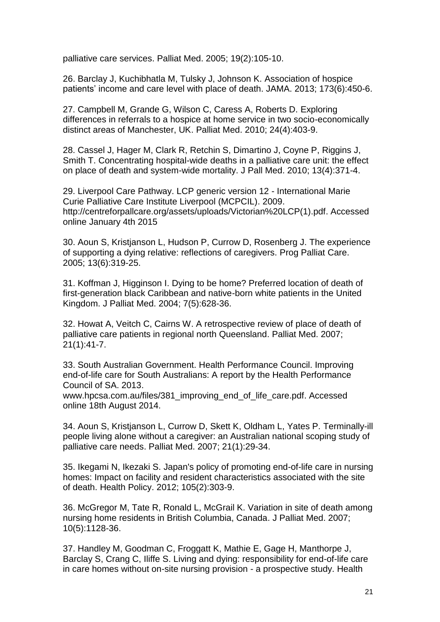[palliative care services.](http://flinders-primo.hosted.exlibrisgroup.com/primo_library/libweb/action/display.do?frbrVersion=9&tabs=detailsTab&ct=display&fn=search&doc=TN_medline15810748&indx=1&recIds=TN_medline15810748&recIdxs=0&elementId=0&renderMode=poppedOut&displayMode=full&frbrVersion=9&dscnt=0&frbg=&scp.scps=scope%3A%2861FUL%29%2Cscope%3A%28FUL_METALIB%29%2Cscope%3A%28FUL_DSPACE%29%2Cprimo_central_multiple_fe&tab=default_tab&dstmp=1415688205444&srt=rank&mode=Basic&&dum=true&vl(freeText0)=Social%20class%20and%20access%20to%20specialist%20palliative%20care%20services&vid=FUL) Palliat Med. 2005; 19(2):105-10.

26. Barclay J, Kuchibhatla M, Tulsky J, Johnson K. Association of hospice patients' income and care level with place of death. JAMA. 2013; 173(6):450-6.

27. Campbell M, Grande G, Wilson C, Caress A, Roberts D. [Exploring](http://flinders-primo.hosted.exlibrisgroup.com/primo_library/libweb/action/display.do?frbrVersion=14&tabs=detailsTab&ct=display&fn=search&doc=TN_sagej10.1177_0269216309354032&indx=1&recIds=TN_sagej10.1177_0269216309354032&recIdxs=0&elementId=0&renderMode=poppedOut&displayMode=full&frbrVersion=14&dscnt=0&frbg=&scp.scps=scope%3A%2861FUL%29%2Cscope%3A%28FUL_METALIB%29%2Cscope%3A%28FUL_DSPACE%29%2Cprimo_central_multiple_fe&tab=default_tab&dstmp=1415688311802&srt=rank&mode=Basic&&dum=true&vl(freeText0)=Exploring%20differences%20in%20referrals%20to%20a%20hospice%20at%20home%20service%20in%20two%20socio-economically%20distinct%20areas%20of%20Manchester%2C%20UK&vid=FUL)  [differences in referrals to a hospice at home service in two socio-economically](http://flinders-primo.hosted.exlibrisgroup.com/primo_library/libweb/action/display.do?frbrVersion=14&tabs=detailsTab&ct=display&fn=search&doc=TN_sagej10.1177_0269216309354032&indx=1&recIds=TN_sagej10.1177_0269216309354032&recIdxs=0&elementId=0&renderMode=poppedOut&displayMode=full&frbrVersion=14&dscnt=0&frbg=&scp.scps=scope%3A%2861FUL%29%2Cscope%3A%28FUL_METALIB%29%2Cscope%3A%28FUL_DSPACE%29%2Cprimo_central_multiple_fe&tab=default_tab&dstmp=1415688311802&srt=rank&mode=Basic&&dum=true&vl(freeText0)=Exploring%20differences%20in%20referrals%20to%20a%20hospice%20at%20home%20service%20in%20two%20socio-economically%20distinct%20areas%20of%20Manchester%2C%20UK&vid=FUL)  [distinct areas of Manchester, UK.](http://flinders-primo.hosted.exlibrisgroup.com/primo_library/libweb/action/display.do?frbrVersion=14&tabs=detailsTab&ct=display&fn=search&doc=TN_sagej10.1177_0269216309354032&indx=1&recIds=TN_sagej10.1177_0269216309354032&recIdxs=0&elementId=0&renderMode=poppedOut&displayMode=full&frbrVersion=14&dscnt=0&frbg=&scp.scps=scope%3A%2861FUL%29%2Cscope%3A%28FUL_METALIB%29%2Cscope%3A%28FUL_DSPACE%29%2Cprimo_central_multiple_fe&tab=default_tab&dstmp=1415688311802&srt=rank&mode=Basic&&dum=true&vl(freeText0)=Exploring%20differences%20in%20referrals%20to%20a%20hospice%20at%20home%20service%20in%20two%20socio-economically%20distinct%20areas%20of%20Manchester%2C%20UK&vid=FUL) Palliat Med. 2010; 24(4):403-9.

28. Cassel J, Hager M, Clark R, Retchin S, Dimartino J, Coyne P, Riggins J, Smith T. [Concentrating hospital-wide deaths in a palliative care unit: the effect](http://flinders-primo.hosted.exlibrisgroup.com/primo_library/libweb/action/display.do?frbrVersion=4&tabs=detailsTab&ct=display&fn=search&doc=TN_medline20235873&indx=1&recIds=TN_medline20235873&recIdxs=0&elementId=0&renderMode=poppedOut&displayMode=full&frbrVersion=4&dscnt=0&frbg=&scp.scps=scope%3A%2861FUL%29%2Cscope%3A%28FUL_METALIB%29%2Cscope%3A%28FUL_DSPACE%29%2Cprimo_central_multiple_fe&tab=default_tab&dstmp=1415689242889&srt=rank&mode=Basic&&dum=true&vl(freeText0)=Concentrating%20Hospital-Wide%20Deaths%20in%20a%20Palliative%20Care%20Unit%3A%20The%20Effect%20on%20Place%20of%20Death%20and%20System-Wide%20Mortality&vid=FUL)  [on place of death and system-wide mortality.](http://flinders-primo.hosted.exlibrisgroup.com/primo_library/libweb/action/display.do?frbrVersion=4&tabs=detailsTab&ct=display&fn=search&doc=TN_medline20235873&indx=1&recIds=TN_medline20235873&recIdxs=0&elementId=0&renderMode=poppedOut&displayMode=full&frbrVersion=4&dscnt=0&frbg=&scp.scps=scope%3A%2861FUL%29%2Cscope%3A%28FUL_METALIB%29%2Cscope%3A%28FUL_DSPACE%29%2Cprimo_central_multiple_fe&tab=default_tab&dstmp=1415689242889&srt=rank&mode=Basic&&dum=true&vl(freeText0)=Concentrating%20Hospital-Wide%20Deaths%20in%20a%20Palliative%20Care%20Unit%3A%20The%20Effect%20on%20Place%20of%20Death%20and%20System-Wide%20Mortality&vid=FUL) J Pall Med. 2010; 13(4):371-4.

29. Liverpool Care Pathway. LCP generic version 12 - International Marie Curie Palliative Care Institute Liverpool (MCPCIL). 2009. http://centreforpallcare.org/assets/uploads/Victorian%20LCP(1).pdf. Accessed online January 4th 2015

30. Aoun S, Kristjanson L, Hudson P, Currow D, Rosenberg J. The experience of supporting a dying relative: reflections of caregivers. Prog Palliat Care. 2005; 13(6):319-25.

31. Koffman J, Higginson I. [Dying to be home? Preferred location of death of](http://flinders-primo.hosted.exlibrisgroup.com/primo_library/libweb/action/display.do?frbrVersion=4&tabs=detailsTab&ct=display&fn=search&doc=TN_medline15588353&indx=1&recIds=TN_medline15588353&recIdxs=0&elementId=0&renderMode=poppedOut&displayMode=full&frbrVersion=4&dscnt=0&frbg=&scp.scps=scope%3A%2861FUL%29%2Cscope%3A%28FUL_METALIB%29%2Cscope%3A%28FUL_DSPACE%29%2Cprimo_central_multiple_fe&tab=default_tab&dstmp=1415688657552&srt=rank&mode=Basic&&dum=true&vl(freeText0)=Dying%20to%20be%20Home%3F%20Preferred%20Location%20of%20Death%20of%20First-Generation%20Black%20Caribbean%20and%20Native-Born%20White%20Patients%20in%20the%20United%20Kingdom&vid=FUL)  [first-generation black Caribbean and native-born white patients in the United](http://flinders-primo.hosted.exlibrisgroup.com/primo_library/libweb/action/display.do?frbrVersion=4&tabs=detailsTab&ct=display&fn=search&doc=TN_medline15588353&indx=1&recIds=TN_medline15588353&recIdxs=0&elementId=0&renderMode=poppedOut&displayMode=full&frbrVersion=4&dscnt=0&frbg=&scp.scps=scope%3A%2861FUL%29%2Cscope%3A%28FUL_METALIB%29%2Cscope%3A%28FUL_DSPACE%29%2Cprimo_central_multiple_fe&tab=default_tab&dstmp=1415688657552&srt=rank&mode=Basic&&dum=true&vl(freeText0)=Dying%20to%20be%20Home%3F%20Preferred%20Location%20of%20Death%20of%20First-Generation%20Black%20Caribbean%20and%20Native-Born%20White%20Patients%20in%20the%20United%20Kingdom&vid=FUL)  [Kingdom.](http://flinders-primo.hosted.exlibrisgroup.com/primo_library/libweb/action/display.do?frbrVersion=4&tabs=detailsTab&ct=display&fn=search&doc=TN_medline15588353&indx=1&recIds=TN_medline15588353&recIdxs=0&elementId=0&renderMode=poppedOut&displayMode=full&frbrVersion=4&dscnt=0&frbg=&scp.scps=scope%3A%2861FUL%29%2Cscope%3A%28FUL_METALIB%29%2Cscope%3A%28FUL_DSPACE%29%2Cprimo_central_multiple_fe&tab=default_tab&dstmp=1415688657552&srt=rank&mode=Basic&&dum=true&vl(freeText0)=Dying%20to%20be%20Home%3F%20Preferred%20Location%20of%20Death%20of%20First-Generation%20Black%20Caribbean%20and%20Native-Born%20White%20Patients%20in%20the%20United%20Kingdom&vid=FUL) J Palliat Med. 2004; 7(5):628-36.

32. Howat A, Veitch C, Cairns W. [A retrospective review of place of death of](http://flinders-primo.hosted.exlibrisgroup.com/primo_library/libweb/action/display.do?frbrVersion=13&tabs=detailsTab&ct=display&fn=search&doc=TN_medline17169959&indx=1&recIds=TN_medline17169959&recIdxs=0&elementId=0&renderMode=poppedOut&displayMode=full&frbrVersion=13&dscnt=0&frbg=&scp.scps=scope%3A%2861FUL%29%2Cscope%3A%28FUL_METALIB%29%2Cscope%3A%28FUL_DSPACE%29%2Cprimo_central_multiple_fe&tab=default_tab&dstmp=1415689006979&srt=rank&mode=Basic&&dum=true&vl(freeText0)=A%20retrospective%20review%20of%20place%20of%20death%20of%20palliative%20care%20patients%20in%20regional%20north%20Queensland&vid=FUL)  [palliative care patients in regional north Queensland.](http://flinders-primo.hosted.exlibrisgroup.com/primo_library/libweb/action/display.do?frbrVersion=13&tabs=detailsTab&ct=display&fn=search&doc=TN_medline17169959&indx=1&recIds=TN_medline17169959&recIdxs=0&elementId=0&renderMode=poppedOut&displayMode=full&frbrVersion=13&dscnt=0&frbg=&scp.scps=scope%3A%2861FUL%29%2Cscope%3A%28FUL_METALIB%29%2Cscope%3A%28FUL_DSPACE%29%2Cprimo_central_multiple_fe&tab=default_tab&dstmp=1415689006979&srt=rank&mode=Basic&&dum=true&vl(freeText0)=A%20retrospective%20review%20of%20place%20of%20death%20of%20palliative%20care%20patients%20in%20regional%20north%20Queensland&vid=FUL) Palliat Med. 2007; 21(1):41-7.

33. South Australian Government. Health Performance Council. Improving end-of-life care for South Australians: A report by the Health Performance Council of SA. 2013.

www.hpcsa.com.au/files/381 improving end of life care.pdf. Accessed online 18th August 2014.

34. Aoun S, Kristjanson L, Currow D, Skett K, Oldham L, Yates P. [Terminally-ill](http://flinders-primo.hosted.exlibrisgroup.com/primo_library/libweb/action/display.do?frbrVersion=10&tabs=detailsTab&ct=display&fn=search&doc=TN_medline17169957&indx=2&recIds=TN_medline17169957&recIdxs=1&elementId=1&renderMode=poppedOut&displayMode=full&frbrVersion=10&dscnt=0&frbg=&scp.scps=scope%3A%2861FUL%29%2Cscope%3A%28FUL_METALIB%29%2Cscope%3A%28FUL_DSPACE%29%2Cprimo_central_multiple_fe&tab=default_tab&dstmp=1415688549210&srt=rank&mode=Basic&&dum=true&vl(freeText0)=Terminally-ill%20people%20living%20alone%20without%20a%20caregiver%3A%20an%20Australian%20national%20scoping%20study%20of%20palliative%20care%20needs&vid=FUL)  [people living alone without a caregiver: an Australian national scoping study of](http://flinders-primo.hosted.exlibrisgroup.com/primo_library/libweb/action/display.do?frbrVersion=10&tabs=detailsTab&ct=display&fn=search&doc=TN_medline17169957&indx=2&recIds=TN_medline17169957&recIdxs=1&elementId=1&renderMode=poppedOut&displayMode=full&frbrVersion=10&dscnt=0&frbg=&scp.scps=scope%3A%2861FUL%29%2Cscope%3A%28FUL_METALIB%29%2Cscope%3A%28FUL_DSPACE%29%2Cprimo_central_multiple_fe&tab=default_tab&dstmp=1415688549210&srt=rank&mode=Basic&&dum=true&vl(freeText0)=Terminally-ill%20people%20living%20alone%20without%20a%20caregiver%3A%20an%20Australian%20national%20scoping%20study%20of%20palliative%20care%20needs&vid=FUL)  [palliative care needs.](http://flinders-primo.hosted.exlibrisgroup.com/primo_library/libweb/action/display.do?frbrVersion=10&tabs=detailsTab&ct=display&fn=search&doc=TN_medline17169957&indx=2&recIds=TN_medline17169957&recIdxs=1&elementId=1&renderMode=poppedOut&displayMode=full&frbrVersion=10&dscnt=0&frbg=&scp.scps=scope%3A%2861FUL%29%2Cscope%3A%28FUL_METALIB%29%2Cscope%3A%28FUL_DSPACE%29%2Cprimo_central_multiple_fe&tab=default_tab&dstmp=1415688549210&srt=rank&mode=Basic&&dum=true&vl(freeText0)=Terminally-ill%20people%20living%20alone%20without%20a%20caregiver%3A%20an%20Australian%20national%20scoping%20study%20of%20palliative%20care%20needs&vid=FUL) Palliat Med. 2007; 21(1):29-34.

35. Ikegami N, Ikezaki S. Japan's policy of promoting end-of-life care in nursing homes: Impact on facility and resident characteristics associated with the site of death. Health Policy. 2012; 105(2):303-9.

36. McGregor M, Tate R, Ronald L, McGrail K. [Variation in site of death among](http://flinders-primo.hosted.exlibrisgroup.com/primo_library/libweb/action/display.do?frbrVersion=4&tabs=detailsTab&ct=display&fn=search&doc=TN_medline17985969&indx=1&recIds=TN_medline17985969&recIdxs=0&elementId=0&renderMode=poppedOut&displayMode=full&frbrVersion=4&dscnt=0&frbg=&scp.scps=scope%3A%2861FUL%29%2Cscope%3A%28FUL_METALIB%29%2Cscope%3A%28FUL_DSPACE%29%2Cprimo_central_multiple_fe&tab=default_tab&dstmp=1415689394925&srt=rank&mode=Basic&&dum=true&vl(freeText0)=%20Variation%20in%20Site%20of%20Death%20among%20Nursing%20Home%20Residents%20in%20British%20Columbia%2C%20Canada&vid=FUL)  [nursing home residents in British Columbia, Canada.](http://flinders-primo.hosted.exlibrisgroup.com/primo_library/libweb/action/display.do?frbrVersion=4&tabs=detailsTab&ct=display&fn=search&doc=TN_medline17985969&indx=1&recIds=TN_medline17985969&recIdxs=0&elementId=0&renderMode=poppedOut&displayMode=full&frbrVersion=4&dscnt=0&frbg=&scp.scps=scope%3A%2861FUL%29%2Cscope%3A%28FUL_METALIB%29%2Cscope%3A%28FUL_DSPACE%29%2Cprimo_central_multiple_fe&tab=default_tab&dstmp=1415689394925&srt=rank&mode=Basic&&dum=true&vl(freeText0)=%20Variation%20in%20Site%20of%20Death%20among%20Nursing%20Home%20Residents%20in%20British%20Columbia%2C%20Canada&vid=FUL) J Palliat Med. 2007; 10(5):1128-36.

37. Handley M, Goodman C, Froggatt K, Mathie E, Gage H, Manthorpe J, Barclay S, Crang C, Iliffe S. [Living and dying: responsibility for end-of-life care](http://flinders-primo.hosted.exlibrisgroup.com/primo_library/libweb/action/display.do?frbrVersion=3&tabs=detailsTab&ct=display&fn=search&doc=TN_gale_ofa352116827&indx=1&recIds=TN_gale_ofa352116827&recIdxs=0&elementId=0&renderMode=poppedOut&displayMode=full&frbrVersion=3&dscnt=0&frbg=&scp.scps=scope%3A%2861FUL%29%2Cscope%3A%28FUL_METALIB%29%2Cscope%3A%28FUL_DSPACE%29%2Cprimo_central_multiple_fe&tab=default_tab&dstmp=1415689899692&srt=rank&mode=Basic&&dum=true&vl(freeText0)=Living%20and%20dying%3A%20responsibility%20for%20end-of-life%20care%20in%20care%20homes%20without%20on-site%20nursing%20provision%20-%20a%20prospective%20study.%28Clinical%20report%29&vid=FUL)  [in care homes without on-site nursing provision -](http://flinders-primo.hosted.exlibrisgroup.com/primo_library/libweb/action/display.do?frbrVersion=3&tabs=detailsTab&ct=display&fn=search&doc=TN_gale_ofa352116827&indx=1&recIds=TN_gale_ofa352116827&recIdxs=0&elementId=0&renderMode=poppedOut&displayMode=full&frbrVersion=3&dscnt=0&frbg=&scp.scps=scope%3A%2861FUL%29%2Cscope%3A%28FUL_METALIB%29%2Cscope%3A%28FUL_DSPACE%29%2Cprimo_central_multiple_fe&tab=default_tab&dstmp=1415689899692&srt=rank&mode=Basic&&dum=true&vl(freeText0)=Living%20and%20dying%3A%20responsibility%20for%20end-of-life%20care%20in%20care%20homes%20without%20on-site%20nursing%20provision%20-%20a%20prospective%20study.%28Clinical%20report%29&vid=FUL) a prospective study. Health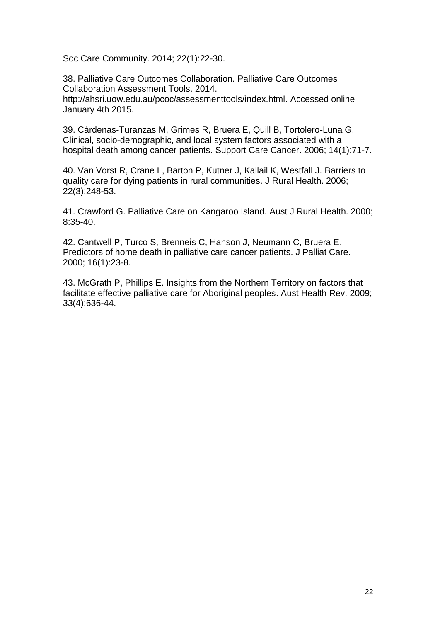Soc Care Community. 2014; 22(1):22-30.

38. Palliative Care Outcomes Collaboration. Palliative Care Outcomes Collaboration Assessment Tools. 2014. http://ahsri.uow.edu.au/pcoc/assessmenttools/index.html. Accessed online January 4th 2015.

39. Cárdenas-Turanzas M, Grimes R, Bruera E, Quill B, Tortolero-Luna G. [Clinical, socio-demographic, and local system factors associated with a](http://flinders-primo.hosted.exlibrisgroup.com/primo_library/libweb/action/display.do?frbrVersion=5&tabs=detailsTab&ct=display&fn=search&doc=TN_springer_jour10.1007%2fs00520-005-0819-2&indx=1&recIds=TN_springer_jour10.1007%2fs00520-005-0819-2&recIdxs=0&elementId=0&renderMode=poppedOut&displayMode=full&frbrVersion=5&dscnt=0&frbg=&scp.scps=scope%3A%2861FUL%29%2Cscope%3A%28FUL_METALIB%29%2Cscope%3A%28FUL_DSPACE%29%2Cprimo_central_multiple_fe&tab=default_tab&dstmp=1415689725475&srt=rank&mode=Basic&&dum=true&vl(freeText0)=Clinical%2C%20sociodemographic%2C%20and%20local%20system%20factors%20associated%20with%20a%20hospital%20death%20among%20cancer%20patients&vid=FUL)  [hospital death among cancer patients.](http://flinders-primo.hosted.exlibrisgroup.com/primo_library/libweb/action/display.do?frbrVersion=5&tabs=detailsTab&ct=display&fn=search&doc=TN_springer_jour10.1007%2fs00520-005-0819-2&indx=1&recIds=TN_springer_jour10.1007%2fs00520-005-0819-2&recIdxs=0&elementId=0&renderMode=poppedOut&displayMode=full&frbrVersion=5&dscnt=0&frbg=&scp.scps=scope%3A%2861FUL%29%2Cscope%3A%28FUL_METALIB%29%2Cscope%3A%28FUL_DSPACE%29%2Cprimo_central_multiple_fe&tab=default_tab&dstmp=1415689725475&srt=rank&mode=Basic&&dum=true&vl(freeText0)=Clinical%2C%20sociodemographic%2C%20and%20local%20system%20factors%20associated%20with%20a%20hospital%20death%20among%20cancer%20patients&vid=FUL) Support Care Cancer. 2006; 14(1):71-7.

40. Van Vorst R, Crane L, Barton P, Kutner J, Kallail K, Westfall J. Barriers to quality care for dying patients in rural communities. J Rural Health. 2006; 22(3):248-53.

41. Crawford G. Palliative Care on Kangaroo Island. Aust J Rural Health. 2000; 8:35-40.

42. Cantwell P, Turco S, Brenneis C, Hanson J, Neumann C, Bruera E. [Predictors of home death in palliative care cancer patients.](http://flinders-primo.hosted.exlibrisgroup.com/primo_library/libweb/action/display.do?frbrVersion=6&tabs=detailsTab&ct=display&fn=search&doc=TN_gale_ofa30365904&indx=2&recIds=TN_gale_ofa30365904&recIdxs=1&elementId=1&renderMode=poppedOut&displayMode=full&frbrVersion=6&dscnt=0&frbg=&scp.scps=scope%3A%2861FUL%29%2Cscope%3A%28FUL_METALIB%29%2Cscope%3A%28FUL_DSPACE%29%2Cprimo_central_multiple_fe&tab=default_tab&dstmp=1415690398430&srt=rank&mode=Basic&&dum=true&vl(freeText0)=predictors%20of%20home%20death%20in%20palliative%20care&vid=FUL) J Palliat Care. 2000; 16(1):23-8.

43. McGrath P, Phillips E. [Insights from the Northern Territory on factors that](http://flinders-primo.hosted.exlibrisgroup.com/primo_library/libweb/action/display.do?frbrVersion=9&tabs=detailsTab&ct=display&fn=search&doc=TN_csiro10.1071%2fAH090636&indx=1&recIds=TN_csiro10.1071%2fAH090636&recIdxs=0&elementId=0&renderMode=poppedOut&displayMode=full&frbrVersion=9&dscnt=0&frbg=&scp.scps=scope%3A%2861FUL%29%2Cscope%3A%28FUL_METALIB%29%2Cscope%3A%28FUL_DSPACE%29%2Cprimo_central_multiple_fe&tab=default_tab&dstmp=1415688841059&srt=rank&mode=Basic&&dum=true&vl(freeText0)=insights%20from%20northern%20territory%20on%20factors&vid=FUL)  [facilitate effective palliative care for Aboriginal peoples.](http://flinders-primo.hosted.exlibrisgroup.com/primo_library/libweb/action/display.do?frbrVersion=9&tabs=detailsTab&ct=display&fn=search&doc=TN_csiro10.1071%2fAH090636&indx=1&recIds=TN_csiro10.1071%2fAH090636&recIdxs=0&elementId=0&renderMode=poppedOut&displayMode=full&frbrVersion=9&dscnt=0&frbg=&scp.scps=scope%3A%2861FUL%29%2Cscope%3A%28FUL_METALIB%29%2Cscope%3A%28FUL_DSPACE%29%2Cprimo_central_multiple_fe&tab=default_tab&dstmp=1415688841059&srt=rank&mode=Basic&&dum=true&vl(freeText0)=insights%20from%20northern%20territory%20on%20factors&vid=FUL) Aust Health Rev. 2009; 33(4):636-44.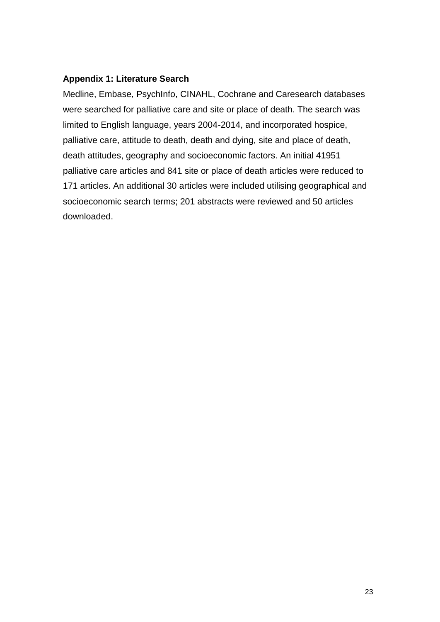#### **Appendix 1: Literature Search**

Medline, Embase, PsychInfo, CINAHL, Cochrane and Caresearch databases were searched for palliative care and site or place of death. The search was limited to English language, years 2004-2014, and incorporated hospice, palliative care, attitude to death, death and dying, site and place of death, death attitudes, geography and socioeconomic factors. An initial 41951 palliative care articles and 841 site or place of death articles were reduced to 171 articles. An additional 30 articles were included utilising geographical and socioeconomic search terms; 201 abstracts were reviewed and 50 articles downloaded.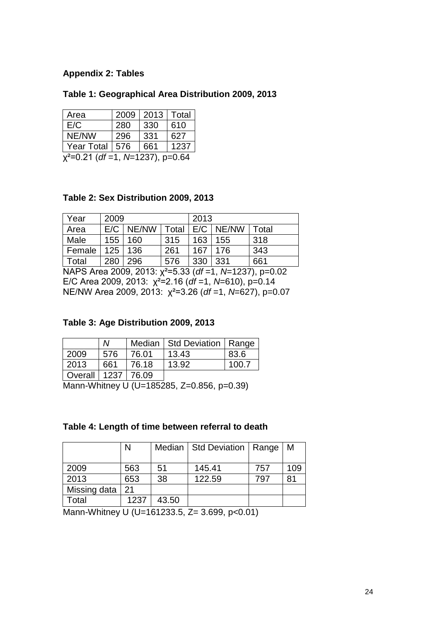## **Appendix 2: Tables**

#### **Table 1: Geographical Area Distribution 2009, 2013**

| Area                                | 2009 | 2013 | Total |  |  |
|-------------------------------------|------|------|-------|--|--|
| E/C                                 | 280  | 330  | 610   |  |  |
| NE/NW                               | 296  | 331  | 627   |  |  |
| <b>Year Total</b>                   | 576  | 661  | 1237  |  |  |
| $x^2$ =0.21 (df =1, N=1237), p=0.64 |      |      |       |  |  |

#### **Table 2: Sex Distribution 2009, 2013**

| Year   | 2009 |       |       | 2013 |       |       |
|--------|------|-------|-------|------|-------|-------|
| Area   | E/C  | NE/NW | Total | E/C  | NE/NW | Total |
| Male   | 155  | 160   | 315   | 163  | 155   | 318   |
| Female | 125  | 136   | 261   | 167  | 176   | 343   |
| Total  | 280  | 296   | 576   | 330  | 331   | 661   |

NAPS Area 2009, 2013: χ²=5.33 (*df* =1, *N*=1237), p=0.02 E/C Area 2009, 2013: χ²=2.16 (*df* =1, *N*=610), p=0.14 NE/NW Area 2009, 2013: χ²=3.26 (*df* =1, *N*=627), p=0.07

#### **Table 3: Age Distribution 2009, 2013**

|                        | M   |       | Median   Std Deviation   Range |       |
|------------------------|-----|-------|--------------------------------|-------|
| 2009                   | 576 | 76.01 | 13.43                          | 83.6  |
| $\vert$ 2013           | 661 | 76.18 | 13.92                          | 100.7 |
| Overall   1237   76.09 |     |       |                                |       |

Mann-Whitney U (U=185285, Z=0.856, p=0.39)

#### **Table 4: Length of time between referral to death**

|              | N    |       | Median   Std Deviation   Range |     | M   |
|--------------|------|-------|--------------------------------|-----|-----|
|              |      |       |                                |     |     |
| 2009         | 563  | 51    | 145.41                         | 757 | 109 |
| 2013         | 653  | 38    | 122.59                         | 797 | 81  |
| Missing data | 21   |       |                                |     |     |
| Total        | 1237 | 43.50 |                                |     |     |

Mann-Whitney U (U=161233.5, Z= 3.699, p<0.01)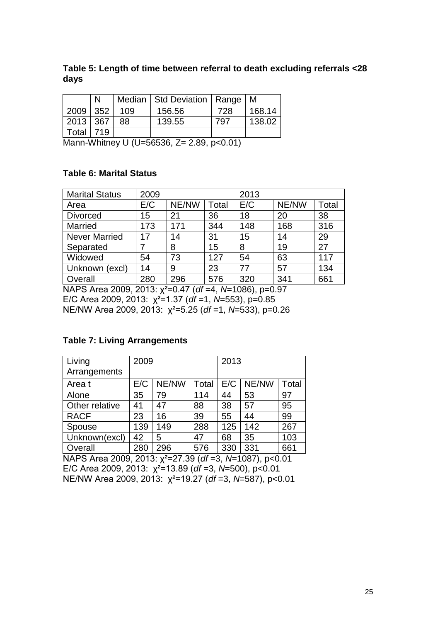#### **Table 5: Length of time between referral to death excluding referrals <28 days**

|          |     |     | Median   Std Deviation   Range |     | M      |
|----------|-----|-----|--------------------------------|-----|--------|
| 2009 352 |     | 109 | 156.56                         | 728 | 168.14 |
| 2013 367 |     | 88  | 139.55                         | 797 | 138.02 |
| Total    | 719 |     |                                |     |        |

Mann-Whitney U (U=56536, Z= 2.89, p<0.01)

#### **Table 6: Marital Status**

| <b>Marital Status</b> | 2009                                                 |       |              | 2013 |       |       |
|-----------------------|------------------------------------------------------|-------|--------------|------|-------|-------|
| Area                  | E/C                                                  | NE/NW | <b>Total</b> | E/C  | NE/NW | Total |
| <b>Divorced</b>       | 15                                                   | 21    | 36           | 18   | 20    | 38    |
| Married               | 173                                                  | 171   | 344          | 148  | 168   | 316   |
| <b>Never Married</b>  | 17                                                   | 14    | 31           | 15   | 14    | 29    |
| Separated             |                                                      | 8     | 15           | 8    | 19    | 27    |
| Widowed               | 54                                                   | 73    | 127          | 54   | 63    | 117   |
| Unknown (excl)        | 14                                                   | 9     | 23           | 77   | 57    | 134   |
| Overall               | 280                                                  | 296   | 576          | 320  | 341   | 661   |
| MAPS Area 2009        | $2013 \cdot y^2 = 0$ 47 (df $-A$ N-1086)<br>$n=0.07$ |       |              |      |       |       |

NAPS Area 2009, 2013: χ²=0.47 (*df* =4, *N*=1086), p=0.97 E/C Area 2009, 2013: χ²=1.37 (*df* =1, *N*=553), p=0.85 NE/NW Area 2009, 2013: χ²=5.25 (*df* =1, *N*=533), p=0.26

## **Table 7: Living Arrangements**

| Living<br>Arrangements | 2009 |       |       | 2013 |       |       |
|------------------------|------|-------|-------|------|-------|-------|
| Area t                 | E/C  | NE/NW | Total | E/C  | NE/NW | Total |
| Alone                  | 35   | 79    | 114   | 44   | 53    | 97    |
| Other relative         | 41   | 47    | 88    | 38   | 57    | 95    |
| <b>RACF</b>            | 23   | 16    | 39    | 55   | 44    | 99    |
| Spouse                 | 139  | 149   | 288   | 125  | 142   | 267   |
| Unknown(excl)          | 42   | 5     | 47    | 68   | 35    | 103   |
| Overall                | 280  | 296   | 576   | 330  | 331   | 661   |

NAPS Area 2009, 2013: χ²=27.39 (*df* =3, *N*=1087), p<0.01 E/C Area 2009, 2013: χ²=13.89 (*df* =3, *N*=500), p<0.01 NE/NW Area 2009, 2013: χ²=19.27 (*df* =3, *N*=587), p<0.01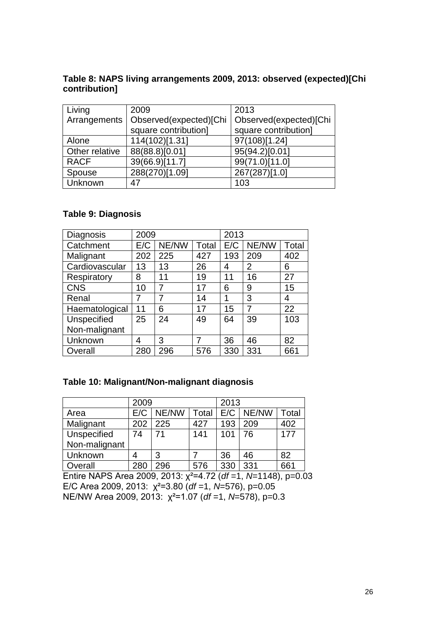#### **Table 8: NAPS living arrangements 2009, 2013: observed (expected)[Chi contribution]**

| Living         | 2009                   | 2013                   |
|----------------|------------------------|------------------------|
| Arrangements   | Observed(expected)[Chi | Observed(expected)[Chi |
|                | square contribution]   | square contribution]   |
| Alone          | 114(102)[1.31]         | 97(108)[1.24]          |
| Other relative | 88(88.8)[0.01]         | 95(94.2)[0.01]         |
| <b>RACF</b>    | 39(66.9)[11.7]         | 99(71.0)[11.0]         |
| Spouse         | 288(270)[1.09]         | 267(287)[1.0]          |
| <b>Unknown</b> | 47                     | 103                    |

## **Table 9: Diagnosis**

| Diagnosis      | 2009 |       |       | 2013 |       |       |
|----------------|------|-------|-------|------|-------|-------|
| Catchment      | E/C  | NE/NW | Total | E/C  | NE/NW | Total |
| Malignant      | 202  | 225   | 427   | 193  | 209   | 402   |
| Cardiovascular | 13   | 13    | 26    | 4    | 2     | 6     |
| Respiratory    | 8    | 11    | 19    | 11   | 16    | 27    |
| <b>CNS</b>     | 10   | 7     | 17    | 6    | 9     | 15    |
| Renal          | 7    | 7     | 14    | 1    | 3     | 4     |
| Haematological | 11   | 6     | 17    | 15   | 7     | 22    |
| Unspecified    | 25   | 24    | 49    | 64   | 39    | 103   |
| Non-malignant  |      |       |       |      |       |       |
| Unknown        | 4    | 3     | 7     | 36   | 46    | 82    |
| Overall        | 280  | 296   | 576   | 330  | 331   | 661   |

## **Table 10: Malignant/Non-malignant diagnosis**

|               | 2009 |       |       | 2013 |       |       |
|---------------|------|-------|-------|------|-------|-------|
| Area          | E/C  | NE/NW | Total | E/C  | NE/NW | Total |
| Malignant     | 202  | 225   | 427   | 193  | 209   | 402   |
| Unspecified   | 74   | 71    | 141   | 101  | 76    | 177   |
| Non-malignant |      |       |       |      |       |       |
| Unknown       | 4    | 3     |       | 36   | 46    | 82    |
| Overall       | 280  | 296   | 576   | 330  | 331   | 661   |

Entire NAPS Area 2009, 2013: χ²=4.72 (*df* =1, *N*=1148), p=0.03 E/C Area 2009, 2013: χ²=3.80 (*df* =1, *N*=576), p=0.05 NE/NW Area 2009, 2013: χ²=1.07 (*df* =1, *N*=578), p=0.3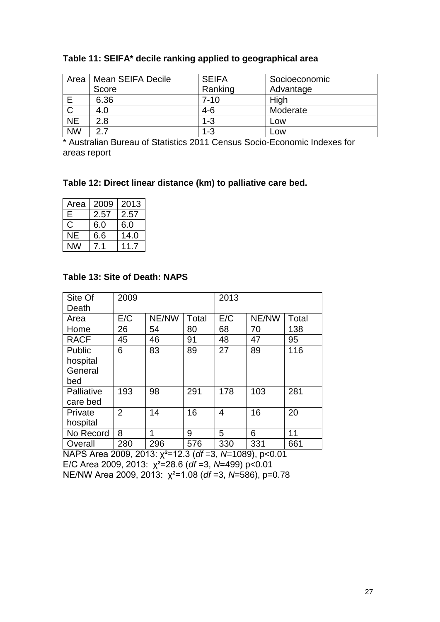| Area         | Mean SEIFA Decile | <b>SEIFA</b> | Socioeconomic |
|--------------|-------------------|--------------|---------------|
|              | Score             | Ranking      | Advantage     |
| E            | 6.36              | $7 - 10$     | High          |
| $\mathsf{C}$ | 4.0               | $4-6$        | Moderate      |
| <b>NE</b>    | 2.8               | $1 - 3$      | LOW           |
| <b>NW</b>    | つ フ               | $1 - 3$      | <b>LOW</b>    |

#### **Table 11: SEIFA\* decile ranking applied to geographical area**

\* Australian Bureau of Statistics 2011 Census Socio-Economic Indexes for areas report

#### **Table 12: Direct linear distance (km) to palliative care bed.**

| Area          | 2009 | 2013 |
|---------------|------|------|
| E             | 2.57 | 2.57 |
| $\mathcal{C}$ | 6.0  | 6.0  |
| NE            | 6.6  | 14.0 |
|               |      |      |

#### **Table 13: Site of Death: NAPS**

| Site Of     | 2009           |       |       | 2013 |       |       |
|-------------|----------------|-------|-------|------|-------|-------|
| Death       |                |       |       |      |       |       |
| Area        | E/C            | NE/NW | Total | E/C  | NE/NW | Total |
| Home        | 26             | 54    | 80    | 68   | 70    | 138   |
| <b>RACF</b> | 45             | 46    | 91    | 48   | 47    | 95    |
| Public      | 6              | 83    | 89    | 27   | 89    | 116   |
| hospital    |                |       |       |      |       |       |
| General     |                |       |       |      |       |       |
| bed         |                |       |       |      |       |       |
| Palliative  | 193            | 98    | 291   | 178  | 103   | 281   |
| care bed    |                |       |       |      |       |       |
| Private     | $\overline{2}$ | 14    | 16    | 4    | 16    | 20    |
| hospital    |                |       |       |      |       |       |
| No Record   | 8              | 1     | 9     | 5    | 6     | 11    |
| Overall     | 280            | 296   | 576   | 330  | 331   | 661   |

NAPS Area 2009, 2013: χ²=12.3 (*df* =3, *N*=1089), p<0.01 E/C Area 2009, 2013: χ²=28.6 (*df* =3, *N*=499) p<0.01 NE/NW Area 2009, 2013: χ²=1.08 (*df* =3, *N*=586), p=0.78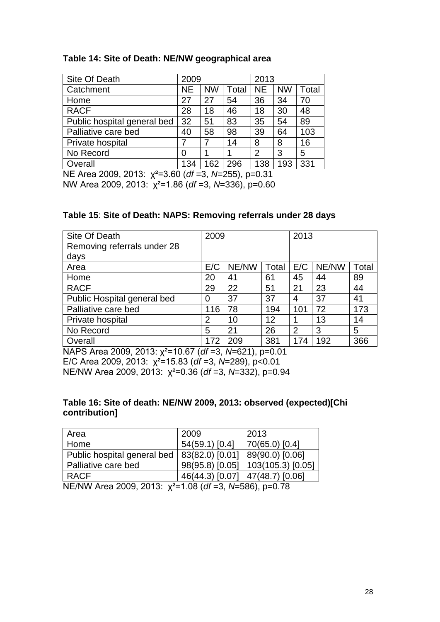#### **Table 14: Site of Death: NE/NW geographical area**

| Site Of Death               | 2009      |           |       | 2013           |           |       |
|-----------------------------|-----------|-----------|-------|----------------|-----------|-------|
| Catchment                   | <b>NE</b> | <b>NW</b> | Total | <b>NE</b>      | <b>NW</b> | Total |
| Home                        | 27        | 27        | 54    | 36             | 34        | 70    |
| <b>RACF</b>                 | 28        | 18        | 46    | 18             | 30        | 48    |
| Public hospital general bed | 32        | 51        | 83    | 35             | 54        | 89    |
| Palliative care bed         | 40        | 58        | 98    | 39             | 64        | 103   |
| Private hospital            | 7         | 7         | 14    | 8              | 8         | 16    |
| No Record                   | 0         |           |       | $\overline{2}$ | 3         | 5     |
| Overall                     | 134       | 162       | 296   | 138            | 193       | 331   |

NE Area 2009, 2013: χ²=3.60 (*df* =3, *N*=255), p=0.31

NW Area 2009, 2013: χ²=1.86 (*df* =3, *N*=336), p=0.60

#### **Table 15**: **Site of Death: NAPS: Removing referrals under 28 days**

| Site Of Death               | 2009 |       |       | 2013 |       |       |
|-----------------------------|------|-------|-------|------|-------|-------|
| Removing referrals under 28 |      |       |       |      |       |       |
| days                        |      |       |       |      |       |       |
| Area                        | E/C  | NE/NW | Total | E/C  | NE/NW | Total |
| Home                        | 20   | 41    | 61    | 45   | 44    | 89    |
| <b>RACF</b>                 | 29   | 22    | 51    | 21   | 23    | 44    |
| Public Hospital general bed | 0    | 37    | 37    | 4    | 37    | 41    |
| Palliative care bed         | 116  | 78    | 194   | 101  | 72    | 173   |
| Private hospital            | 2    | 10    | 12    |      | 13    | 14    |
| No Record                   | 5    | 21    | 26    | 2    | 3     | 5     |
| Overall                     | 172  | 209   | 381   | 174  | 192   | 366   |

NAPS Area 2009, 2013: χ²=10.67 (*df* =3, *N*=621), p=0.01 E/C Area 2009, 2013: χ²=15.83 (*df* =3, *N*=289), p<0.01 NE/NW Area 2009, 2013: χ²=0.36 (*df* =3, *N*=332), p=0.94

#### **Table 16: Site of death: NE/NW 2009, 2013: observed (expected)[Chi contribution]**

| Area                                                                                                                                                                                                                                                                                                                               | 2009                              | 2013                                |
|------------------------------------------------------------------------------------------------------------------------------------------------------------------------------------------------------------------------------------------------------------------------------------------------------------------------------------|-----------------------------------|-------------------------------------|
| Home                                                                                                                                                                                                                                                                                                                               | 54(59.1) [0.4]                    | 70(65.0) [0.4]                      |
| Public hospital general bed                                                                                                                                                                                                                                                                                                        | 83(82.0) [0.01]                   | 89(90.0) 0.06                       |
| Palliative care bed                                                                                                                                                                                                                                                                                                                |                                   | 98(95.8) [0.05]   103(105.3) [0.05] |
| <b>RACF</b>                                                                                                                                                                                                                                                                                                                        | 46(44.3) [0.07]   47(48.7) [0.06] |                                     |
| $\mathbf{A}$ $\mathbf{F}$ $\mathbf{A}$ $\mathbf{B}$ $\mathbf{A}$ $\mathbf{A}$ $\mathbf{A}$ $\mathbf{A}$ $\mathbf{A}$ $\mathbf{A}$ $\mathbf{A}$ $\mathbf{A}$ $\mathbf{A}$ $\mathbf{A}$ $\mathbf{A}$ $\mathbf{A}$ $\mathbf{A}$ $\mathbf{A}$ $\mathbf{A}$ $\mathbf{A}$ $\mathbf{A}$ $\mathbf{A}$ $\mathbf{A}$ $\mathbf{A}$ $\mathbf{$ |                                   |                                     |

NE/NW Area 2009, 2013: χ²=1.08 (*df* =3, *N*=586), p=0.78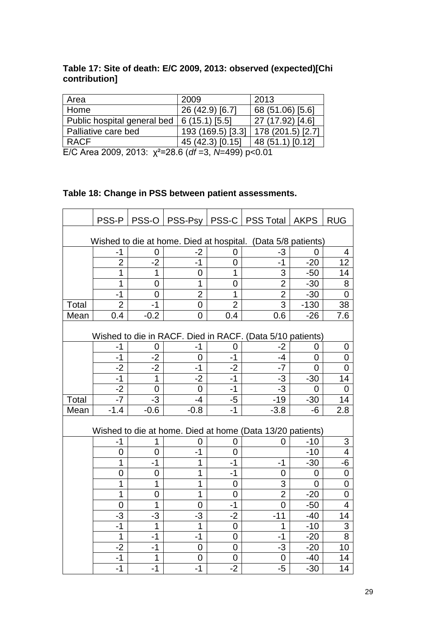## **Table 17: Site of death: E/C 2009, 2013: observed (expected)[Chi contribution]**

| Area                        | 2009              | 2013              |
|-----------------------------|-------------------|-------------------|
| Home                        | 26 (42.9) [6.7]   | 68 (51.06) [5.6]  |
| Public hospital general bed | 6(15.1)   5.5     | 27 (17.92) [4.6]  |
| Palliative care bed         | 193 (169.5) [3.3] | 178 (201.5) [2.7] |
| <b>RACF</b>                 | 45 (42.3) [0.15]  | 48 (51.1) [0.12]  |
|                             |                   |                   |

E/C Area 2009, 2013: χ²=28.6 (*df* =3, *N*=499) p<0.01

## **Table 18: Change in PSS between patient assessments.**

|       | PSS-P          |                | PSS-O   PSS-Psy |                | PSS-C   PSS Total   AKPS                                     |                | <b>RUG</b>     |
|-------|----------------|----------------|-----------------|----------------|--------------------------------------------------------------|----------------|----------------|
|       |                |                |                 |                |                                                              |                |                |
|       |                |                |                 |                | Wished to die at home. Died at hospital. (Data 5/8 patients) |                |                |
|       | -1             | 0              | -2              | 0              | -3                                                           |                | 4              |
|       | $\overline{2}$ | $-2$           | $-1$            | 0              | $-1$                                                         | $-20$          | 12             |
|       | 1              | 1              | 0               | 1              | 3                                                            | $-50$          | 14             |
|       | 1              | 0              | 1               | 0              | $\overline{2}$                                               | $-30$          | 8              |
|       | $-1$           | $\overline{0}$ | $\overline{2}$  | 1              | $\overline{2}$                                               | $-30$          | $\overline{0}$ |
| Total | $\overline{2}$ | $-1$           | 0               | $\overline{2}$ | 3                                                            | $-130$         | 38             |
| Mean  | 0.4            | $-0.2$         | 0               | 0.4            | 0.6                                                          | $-26$          | 7.6            |
|       |                |                |                 |                | Wished to die in RACF. Died in RACF. (Data 5/10 patients)    |                |                |
|       | $-1$           | 0              | $-1$            | 0              | $-2$                                                         | 0              | 0              |
|       | $-1$           | $-2$           | $\overline{0}$  | $-1$           | -4                                                           | $\overline{0}$ | $\overline{0}$ |
|       | $-2$           | $-2$           | $-1$            | $-2$           | $-7$                                                         | $\overline{0}$ | 0              |
|       | $-1$           | $\overline{1}$ | $-2$            | $-1$           | -3                                                           | $-30$          | 14             |
|       | $-2$           | $\overline{0}$ | $\overline{0}$  | $-1$           | -3                                                           | 0              | 0              |
| Total | $-7$           | $-3$           | $-4$            | -5             | $-19$                                                        | $-30$          | 14             |
| Mean  | $-1.4$         | $-0.6$         | $-0.8$          | $-1$           | $-3.8$                                                       | -6             | 2.8            |
|       |                |                |                 |                |                                                              |                |                |
|       |                |                |                 |                | Wished to die at home. Died at home (Data 13/20 patients)    |                |                |
|       | $-1$           | 1              | 0               | 0              | 0                                                            | $-10$          | 3              |
|       | $\overline{0}$ | $\overline{0}$ | $-1$            | 0              |                                                              | $-10$          | $\overline{4}$ |
|       | $\overline{1}$ | $-1$           | 1               | $-1$           | $-1$                                                         | $-30$          | $-6$           |
|       | $\overline{0}$ | 0              | 1               | $-1$           | 0                                                            | 0              | $\pmb{0}$      |
|       | 1              | 1              | 1               | 0              | 3                                                            | $\Omega$       | 0              |
|       | 1              | 0              | 1               | $\overline{0}$ | $\overline{2}$                                               | $-20$          | $\mathbf 0$    |
|       | $\overline{0}$ | 1              | 0               | $-1$           | $\overline{0}$                                               | $-50$          | 4              |
|       | -3             | -3             | -3              | $-2$           | $-11$                                                        | $-40$          | 14             |
|       | $-1$           | 1              | 1               | 0              | 1                                                            | $-10$          | 3              |
|       | 1              | $-1$           | $-1$            | 0              | $-1$                                                         | $-20$          | 8              |
|       | $-2$           | $-1$           | $\overline{0}$  | 0              | -3                                                           | $-20$          | 10             |
|       | $-1$           | $\overline{1}$ | 0               | $\mathbf 0$    | 0                                                            | $-40$          | 14             |
|       | $-1$           | $-1$           | $-1$            | $-2$           | $-5$                                                         | $-30$          | 14             |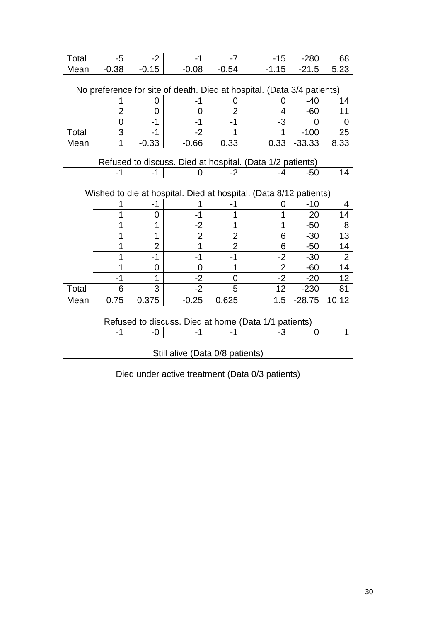| Total                                           | $-5$                                                                   | $-2$           | $-1$           | $-7$           | $-15$                                                             | $-280$         | 68             |  |
|-------------------------------------------------|------------------------------------------------------------------------|----------------|----------------|----------------|-------------------------------------------------------------------|----------------|----------------|--|
| Mean                                            | $-0.38$                                                                | $-0.15$        | $-0.08$        | $-0.54$        | $-1.15$                                                           | $-21.5$        | 5.23           |  |
|                                                 |                                                                        |                |                |                |                                                                   |                |                |  |
|                                                 | No preference for site of death. Died at hospital. (Data 3/4 patients) |                |                |                |                                                                   |                |                |  |
|                                                 |                                                                        | O)             | -1             | 0              | 0                                                                 | $-40$          | 14             |  |
|                                                 | $\overline{2}$                                                         | 0              | 0              | $\overline{2}$ | 4                                                                 | $-60$          | 11             |  |
|                                                 | 0                                                                      | -1             | -1             | -1             | -3                                                                | O              | 0              |  |
| Total                                           | 3                                                                      | $-1$           | $-2$           | 1              | 1                                                                 | $-100$         | 25             |  |
| Mean                                            | 1                                                                      | $-0.33$        | $-0.66$        | 0.33           | 0.33                                                              | $-33.33$       | 8.33           |  |
|                                                 |                                                                        |                |                |                | Refused to discuss. Died at hospital. (Data 1/2 patients)         |                |                |  |
|                                                 | $-1$                                                                   | $-1$           | 0              | $-2$           | -4                                                                | $-50$          | 14             |  |
|                                                 |                                                                        |                |                |                |                                                                   |                |                |  |
|                                                 |                                                                        |                |                |                | Wished to die at hospital. Died at hospital. (Data 8/12 patients) |                |                |  |
|                                                 |                                                                        | -1             |                | -1             | 0                                                                 | $-10$          | 4              |  |
|                                                 | 1                                                                      | 0              | -1             | 1              | 1                                                                 | 20             | 14             |  |
|                                                 | 1                                                                      | 1              | $-2$           | 1              | 1                                                                 | $-50$          | 8              |  |
|                                                 | 1                                                                      | 1              | $\overline{2}$ | $\overline{2}$ | 6                                                                 | $-30$          | 13             |  |
|                                                 | 1                                                                      | $\overline{2}$ | 1              | $\overline{2}$ | 6                                                                 | $-50$          | 14             |  |
|                                                 | 1                                                                      | $-1$           | $-1$           | -1             | $-2$                                                              | $-30$          | $\overline{2}$ |  |
|                                                 | 1                                                                      | 0              | 0              | 1              | $\overline{2}$                                                    | $-60$          | 14             |  |
|                                                 | $-1$                                                                   | 1              | $-2$           | 0              | $-2$                                                              | $-20$          | 12             |  |
| Total                                           | 6                                                                      | 3              | $-2$           | 5              | 12                                                                | $-230$         | 81             |  |
| Mean                                            | 0.75                                                                   | 0.375          | $-0.25$        | 0.625          | 1.5                                                               | $-28.75$       | 10.12          |  |
|                                                 |                                                                        |                |                |                |                                                                   |                |                |  |
|                                                 |                                                                        |                |                |                | Refused to discuss. Died at home (Data 1/1 patients)              |                |                |  |
|                                                 | $-1$                                                                   | -0             | $-1$           | $-1$           | -3                                                                | $\overline{0}$ | 1              |  |
|                                                 |                                                                        |                |                |                |                                                                   |                |                |  |
|                                                 | Still alive (Data 0/8 patients)                                        |                |                |                |                                                                   |                |                |  |
|                                                 |                                                                        |                |                |                |                                                                   |                |                |  |
| Died under active treatment (Data 0/3 patients) |                                                                        |                |                |                |                                                                   |                |                |  |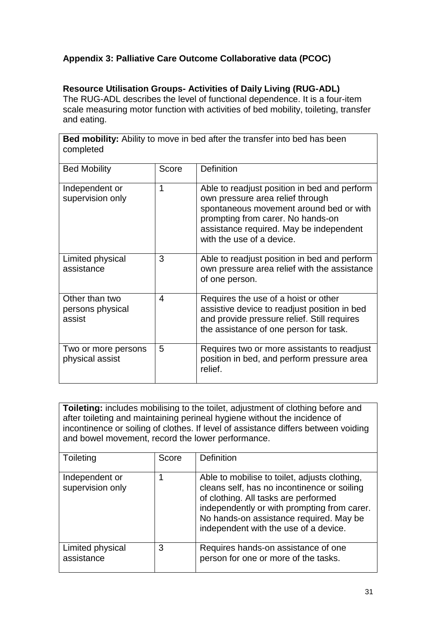## **Appendix 3: Palliative Care Outcome Collaborative data (PCOC)**

## **Resource Utilisation Groups- Activities of Daily Living (RUG-ADL)**

The RUG-ADL describes the level of functional dependence. It is a four-item scale measuring motor function with activities of bed mobility, toileting, transfer and eating.

**Bed mobility:** Ability to move in bed after the transfer into bed has been completed

| <b>Bed Mobility</b>                          | Score | <b>Definition</b>                                                                                                                                                                                                                        |
|----------------------------------------------|-------|------------------------------------------------------------------------------------------------------------------------------------------------------------------------------------------------------------------------------------------|
| Independent or<br>supervision only           | 1     | Able to readjust position in bed and perform<br>own pressure area relief through<br>spontaneous movement around bed or with<br>prompting from carer. No hands-on<br>assistance required. May be independent<br>with the use of a device. |
| Limited physical<br>assistance               | 3     | Able to readjust position in bed and perform<br>own pressure area relief with the assistance<br>of one person.                                                                                                                           |
| Other than two<br>persons physical<br>assist | 4     | Requires the use of a hoist or other<br>assistive device to readjust position in bed<br>and provide pressure relief. Still requires<br>the assistance of one person for task.                                                            |
| Two or more persons<br>physical assist       | 5     | Requires two or more assistants to readjust<br>position in bed, and perform pressure area<br>relief.                                                                                                                                     |

**Toileting:** includes mobilising to the toilet, adjustment of clothing before and after toileting and maintaining perineal hygiene without the incidence of incontinence or soiling of clothes. If level of assistance differs between voiding and bowel movement, record the lower performance.

| Toileting                          | Score | Definition                                                                                                                                                                                                                                                              |
|------------------------------------|-------|-------------------------------------------------------------------------------------------------------------------------------------------------------------------------------------------------------------------------------------------------------------------------|
| Independent or<br>supervision only |       | Able to mobilise to toilet, adjusts clothing,<br>cleans self, has no incontinence or soiling<br>of clothing. All tasks are performed<br>independently or with prompting from carer.<br>No hands-on assistance required. May be<br>independent with the use of a device. |
| Limited physical<br>assistance     | 3     | Requires hands-on assistance of one<br>person for one or more of the tasks.                                                                                                                                                                                             |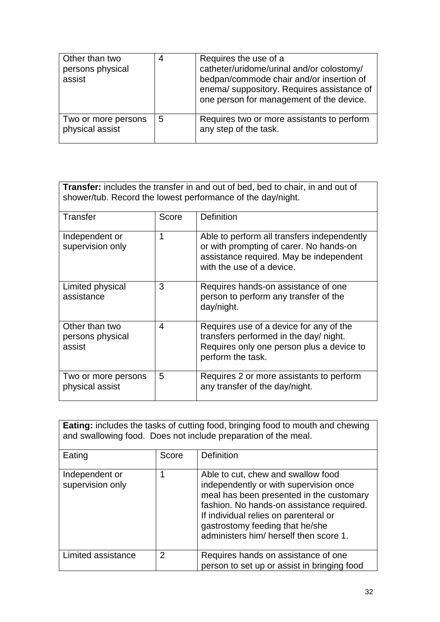| Other than two<br>persons physical<br>assist | 4 | Requires the use of a<br>catheter/uridome/urinal and/or colostomy/<br>bedpan/commode chair and/or insertion of<br>enema/suppository. Requires assistance of<br>one person for management of the device. |
|----------------------------------------------|---|---------------------------------------------------------------------------------------------------------------------------------------------------------------------------------------------------------|
| Two or more persons<br>physical assist       | 5 | Requires two or more assistants to perform<br>any step of the task.                                                                                                                                     |

**Transfer:** includes the transfer in and out of bed, bed to chair, in and out of shower/tub. Record the lowest performance of the day/night.

| Transfer                                     | Score | <b>Definition</b>                                                                                                                                              |
|----------------------------------------------|-------|----------------------------------------------------------------------------------------------------------------------------------------------------------------|
| Independent or<br>supervision only           | 1     | Able to perform all transfers independently<br>or with prompting of carer. No hands-on<br>assistance required. May be independent<br>with the use of a device. |
| Limited physical<br>assistance               | 3     | Requires hands-on assistance of one<br>person to perform any transfer of the<br>day/night.                                                                     |
| Other than two<br>persons physical<br>assist | 4     | Requires use of a device for any of the<br>transfers performed in the day/ night.<br>Requires only one person plus a device to<br>perform the task.            |
| Two or more persons<br>physical assist       | 5     | Requires 2 or more assistants to perform<br>any transfer of the day/night.                                                                                     |

| Eating: includes the tasks of cutting food, bringing food to mouth and chewing<br>and swallowing food. Does not include preparation of the meal. |       |                                                                                                                                                                                                                                                                                             |  |  |
|--------------------------------------------------------------------------------------------------------------------------------------------------|-------|---------------------------------------------------------------------------------------------------------------------------------------------------------------------------------------------------------------------------------------------------------------------------------------------|--|--|
| Eating                                                                                                                                           | Score | Definition                                                                                                                                                                                                                                                                                  |  |  |
| Independent or<br>supervision only                                                                                                               |       | Able to cut, chew and swallow food<br>independently or with supervision once<br>meal has been presented in the customary<br>fashion. No hands-on assistance required.<br>If individual relies on parenteral or<br>gastrostomy feeding that he/she<br>administers him/ herself then score 1. |  |  |
| Limited assistance                                                                                                                               | 2     | Requires hands on assistance of one<br>person to set up or assist in bringing food                                                                                                                                                                                                          |  |  |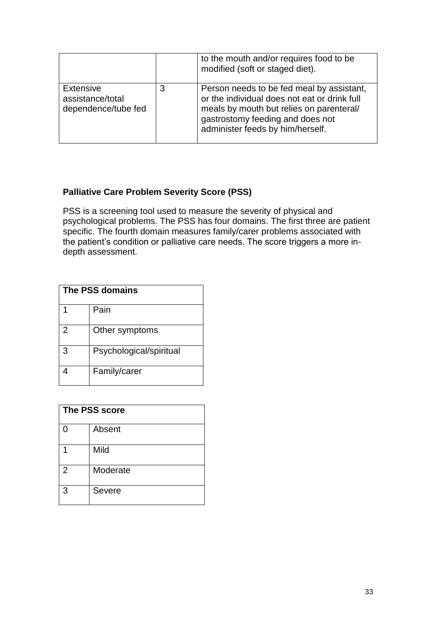|                                                      |   | to the mouth and/or requires food to be<br>modified (soft or staged diet).                                                                                                                                    |
|------------------------------------------------------|---|---------------------------------------------------------------------------------------------------------------------------------------------------------------------------------------------------------------|
| Extensive<br>assistance/total<br>dependence/tube fed | 3 | Person needs to be fed meal by assistant,<br>or the individual does not eat or drink full<br>meals by mouth but relies on parenteral/<br>gastrostomy feeding and does not<br>administer feeds by him/herself. |

## **Palliative Care Problem Severity Score (PSS)**

PSS is a screening tool used to measure the severity of physical and psychological problems. The PSS has four domains. The first three are patient specific. The fourth domain measures family/carer problems associated with the patient's condition or palliative care needs. The score triggers a more indepth assessment.

| The PSS domains |                         |  |
|-----------------|-------------------------|--|
|                 | Pain                    |  |
| $\overline{2}$  | Other symptoms          |  |
| 3               | Psychological/spiritual |  |
|                 | Family/carer            |  |

| <b>The PSS score</b> |          |  |
|----------------------|----------|--|
| ∩                    | Absent   |  |
|                      | Mild     |  |
| $\overline{2}$       | Moderate |  |
| 3                    | Severe   |  |